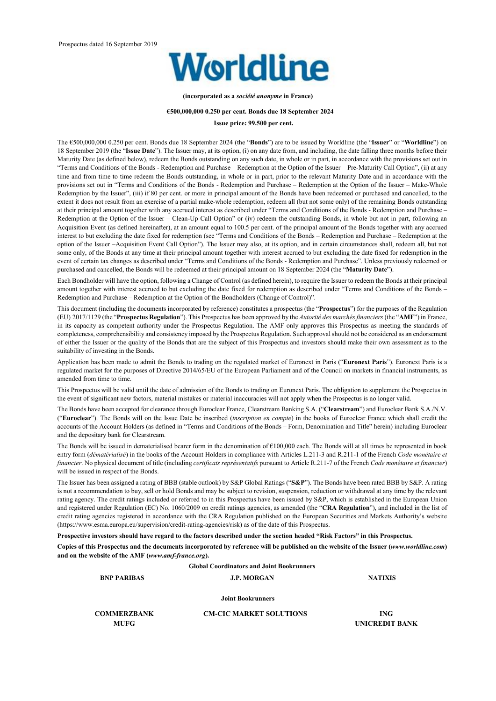

**(incorporated as a** *société anonyme* **in France)** 

#### **€500,000,000 0.250 per cent. Bonds due 18 September 2024**

#### **Issue price: 99.500 per cent.**

The €500,000,000 0.250 per cent. Bonds due 18 September 2024 (the "**Bonds**") are to be issued by Worldline (the "**Issuer**" or "**Worldline**") on 18 September 2019 (the "**Issue Date**"). The Issuer may, at its option, (i) on any date from, and including, the date falling three months before their Maturity Date (as defined below), redeem the Bonds outstanding on any such date, in whole or in part, in accordance with the provisions set out in "Terms and Conditions of the Bonds - Redemption and Purchase – Redemption at the Option of the Issuer – Pre-Maturity Call Option", (ii) at any time and from time to time redeem the Bonds outstanding, in whole or in part, prior to the relevant Maturity Date and in accordance with the provisions set out in "Terms and Conditions of the Bonds - Redemption and Purchase – Redemption at the Option of the Issuer – Make-Whole Redemption by the Issuer", (iii) if 80 per cent. or more in principal amount of the Bonds have been redeemed or purchased and cancelled, to the extent it does not result from an exercise of a partial make-whole redemption, redeem all (but not some only) of the remaining Bonds outstanding at their principal amount together with any accrued interest as described under "Terms and Conditions of the Bonds - Redemption and Purchase – Redemption at the Option of the Issuer – Clean-Up Call Option" or (iv) redeem the outstanding Bonds, in whole but not in part, following an Acquisition Event (as defined hereinafter), at an amount equal to 100.5 per cent. of the principal amount of the Bonds together with any accrued interest to but excluding the date fixed for redemption (see "Terms and Conditions of the Bonds – Redemption and Purchase – Redemption at the option of the Issuer –Acquisition Event Call Option"). The Issuer may also, at its option, and in certain circumstances shall, redeem all, but not some only, of the Bonds at any time at their principal amount together with interest accrued to but excluding the date fixed for redemption in the event of certain tax changes as described under "Terms and Conditions of the Bonds - Redemption and Purchase". Unless previously redeemed or purchased and cancelled, the Bonds will be redeemed at their principal amount on 18 September 2024 (the "**Maturity Date**").

Each Bondholder will have the option, following a Change of Control (as defined herein), to require the Issuer to redeem the Bonds at their principal amount together with interest accrued to but excluding the date fixed for redemption as described under "Terms and Conditions of the Bonds – Redemption and Purchase – Redemption at the Option of the Bondholders (Change of Control)".

This document (including the documents incorporated by reference) constitutes a prospectus (the "**Prospectus**") for the purposes of the Regulation (EU) 2017/1129 (the "**Prospectus Regulation**"). This Prospectus has been approved by the *Autorité des marchés financiers* (the "**AMF**") in France, in its capacity as competent authority under the Prospectus Regulation. The AMF only approves this Prospectus as meeting the standards of completeness, comprehensibility and consistency imposed by the Prospectus Regulation. Such approval should not be considered as an endorsement of either the Issuer or the quality of the Bonds that are the subject of this Prospectus and investors should make their own assessment as to the suitability of investing in the Bonds.

Application has been made to admit the Bonds to trading on the regulated market of Euronext in Paris ("**Euronext Paris**"). Euronext Paris is a regulated market for the purposes of Directive 2014/65/EU of the European Parliament and of the Council on markets in financial instruments, as amended from time to time.

This Prospectus will be valid until the date of admission of the Bonds to trading on Euronext Paris. The obligation to supplement the Prospectus in the event of significant new factors, material mistakes or material inaccuracies will not apply when the Prospectus is no longer valid.

The Bonds have been accepted for clearance through Euroclear France, Clearstream Banking S.A. ("**Clearstream**") and Euroclear Bank S.A./N.V. ("**Euroclear**"). The Bonds will on the Issue Date be inscribed (*inscription en compte*) in the books of Euroclear France which shall credit the accounts of the Account Holders (as defined in "Terms and Conditions of the Bonds – Form, Denomination and Title" herein) including Euroclear and the depositary bank for Clearstream.

The Bonds will be issued in dematerialised bearer form in the denomination of  $€100,000$  each. The Bonds will at all times be represented in book entry form (*dématérialisé*) in the books of the Account Holders in compliance with Articles L.211-3 and R.211-1 of the French *Code monétaire et financier*. No physical document of title (including *certificats représentatifs* pursuant to Article R.211-7 of the French *Code monétaire et financier*) will be issued in respect of the Bonds.

The Issuer has been assigned a rating of BBB (stable outlook) by S&P Global Ratings ("**S&P**"). The Bonds have been rated BBB by S&P. A rating is not a recommendation to buy, sell or hold Bonds and may be subject to revision, suspension, reduction or withdrawal at any time by the relevant rating agency. The credit ratings included or referred to in this Prospectus have been issued by S&P, which is established in the European Union and registered under Regulation (EC) No. 1060/2009 on credit ratings agencies, as amended (the "**CRA Regulation**"), and included in the list of credit rating agencies registered in accordance with the CRA Regulation published on the European Securities and Markets Authority's website (https://www.esma.europa.eu/supervision/credit-rating-agencies/risk) as of the date of this Prospectus.

**Prospective investors should have regard to the factors described under the section headed "Risk Factors" in this Prospectus.** 

**Copies of this Prospectus and the documents incorporated by reference will be published on the website of the Issuer (***www.worldline.com***) and on the website of the AMF (***www.amf-france.org***).** 

**Global Coordinators and Joint Bookrunners** 

**BNP PARIBAS J.P. MORGAN NATIXIS** 

**Joint Bookrunners**

**COMMERZBANK CM-CIC MARKET SOLUTIONS ING** 

**MUFG UNICREDIT BANK**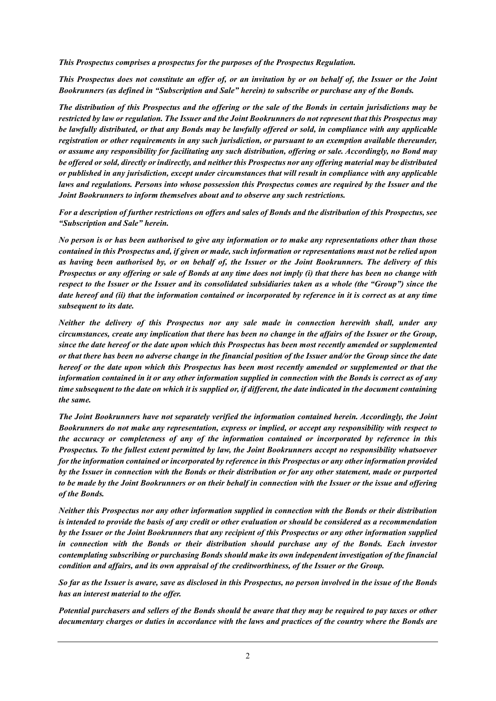*This Prospectus comprises a prospectus for the purposes of the Prospectus Regulation.* 

*This Prospectus does not constitute an offer of, or an invitation by or on behalf of, the Issuer or the Joint Bookrunners (as defined in "Subscription and Sale" herein) to subscribe or purchase any of the Bonds.* 

*The distribution of this Prospectus and the offering or the sale of the Bonds in certain jurisdictions may be restricted by law or regulation. The Issuer and the Joint Bookrunners do not represent that this Prospectus may be lawfully distributed, or that any Bonds may be lawfully offered or sold, in compliance with any applicable registration or other requirements in any such jurisdiction, or pursuant to an exemption available thereunder, or assume any responsibility for facilitating any such distribution, offering or sale. Accordingly, no Bond may be offered or sold, directly or indirectly, and neither this Prospectus nor any offering material may be distributed or published in any jurisdiction, except under circumstances that will result in compliance with any applicable laws and regulations. Persons into whose possession this Prospectus comes are required by the Issuer and the Joint Bookrunners to inform themselves about and to observe any such restrictions.* 

*For a description of further restrictions on offers and sales of Bonds and the distribution of this Prospectus, see "Subscription and Sale" herein.* 

*No person is or has been authorised to give any information or to make any representations other than those contained in this Prospectus and, if given or made, such information or representations must not be relied upon as having been authorised by, or on behalf of, the Issuer or the Joint Bookrunners. The delivery of this Prospectus or any offering or sale of Bonds at any time does not imply (i) that there has been no change with respect to the Issuer or the Issuer and its consolidated subsidiaries taken as a whole (the "Group") since the date hereof and (ii) that the information contained or incorporated by reference in it is correct as at any time subsequent to its date.* 

*Neither the delivery of this Prospectus nor any sale made in connection herewith shall, under any circumstances, create any implication that there has been no change in the affairs of the Issuer or the Group, since the date hereof or the date upon which this Prospectus has been most recently amended or supplemented or that there has been no adverse change in the financial position of the Issuer and/or the Group since the date hereof or the date upon which this Prospectus has been most recently amended or supplemented or that the information contained in it or any other information supplied in connection with the Bonds is correct as of any time subsequent to the date on which it is supplied or, if different, the date indicated in the document containing the same.* 

*The Joint Bookrunners have not separately verified the information contained herein. Accordingly, the Joint Bookrunners do not make any representation, express or implied, or accept any responsibility with respect to the accuracy or completeness of any of the information contained or incorporated by reference in this Prospectus. To the fullest extent permitted by law, the Joint Bookrunners accept no responsibility whatsoever for the information contained or incorporated by reference in this Prospectus or any other information provided by the Issuer in connection with the Bonds or their distribution or for any other statement, made or purported to be made by the Joint Bookrunners or on their behalf in connection with the Issuer or the issue and offering of the Bonds.* 

*Neither this Prospectus nor any other information supplied in connection with the Bonds or their distribution is intended to provide the basis of any credit or other evaluation or should be considered as a recommendation by the Issuer or the Joint Bookrunners that any recipient of this Prospectus or any other information supplied in connection with the Bonds or their distribution should purchase any of the Bonds. Each investor contemplating subscribing or purchasing Bonds should make its own independent investigation of the financial condition and affairs, and its own appraisal of the creditworthiness, of the Issuer or the Group.* 

*So far as the Issuer is aware, save as disclosed in this Prospectus, no person involved in the issue of the Bonds has an interest material to the offer.* 

*Potential purchasers and sellers of the Bonds should be aware that they may be required to pay taxes or other documentary charges or duties in accordance with the laws and practices of the country where the Bonds are*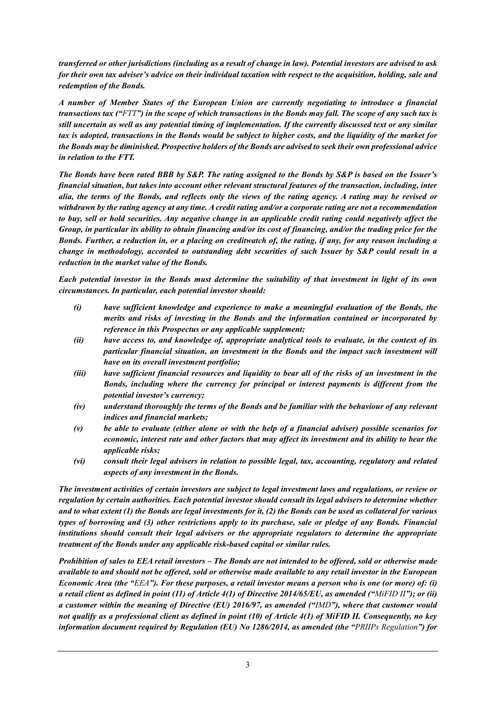*transferred or other jurisdictions (including as a result of change in law). Potential investors are advised to ask for their own tax adviser's advice on their individual taxation with respect to the acquisition, holding, sale and redemption of the Bonds.* 

*A number of Member States of the European Union are currently negotiating to introduce a financial transactions tax ("FTT") in the scope of which transactions in the Bonds may fall. The scope of any such tax is still uncertain as well as any potential timing of implementation. If the currently discussed text or any similar tax is adopted, transactions in the Bonds would be subject to higher costs, and the liquidity of the market for the Bonds may be diminished. Prospective holders of the Bonds are advised to seek their own professional advice in relation to the FTT.* 

*The Bonds have been rated BBB by S&P. The rating assigned to the Bonds by S&P is based on the Issuer's financial situation, but takes into account other relevant structural features of the transaction, including, inter alia, the terms of the Bonds, and reflects only the views of the rating agency. A rating may be revised or withdrawn by the rating agency at any time. A credit rating and/or a corporate rating are not a recommendation to buy, sell or hold securities. Any negative change in an applicable credit rating could negatively affect the Group, in particular its ability to obtain financing and/or its cost of financing, and/or the trading price for the Bonds. Further, a reduction in, or a placing on creditwatch of, the rating, if any, for any reason including a change in methodology, accorded to outstanding debt securities of such Issuer by S&P could result in a reduction in the market value of the Bonds.* 

*Each potential investor in the Bonds must determine the suitability of that investment in light of its own circumstances. In particular, each potential investor should:* 

- *(i) have sufficient knowledge and experience to make a meaningful evaluation of the Bonds, the merits and risks of investing in the Bonds and the information contained or incorporated by reference in this Prospectus or any applicable supplement;*
- *(ii) have access to, and knowledge of, appropriate analytical tools to evaluate, in the context of its particular financial situation, an investment in the Bonds and the impact such investment will have on its overall investment portfolio;*
- *(iii) have sufficient financial resources and liquidity to bear all of the risks of an investment in the Bonds, including where the currency for principal or interest payments is different from the potential investor's currency;*
- *(iv) understand thoroughly the terms of the Bonds and be familiar with the behaviour of any relevant indices and financial markets;*
- *(v) be able to evaluate (either alone or with the help of a financial adviser) possible scenarios for economic, interest rate and other factors that may affect its investment and its ability to bear the applicable risks;*
- *(vi) consult their legal advisers in relation to possible legal, tax, accounting, regulatory and related aspects of any investment in the Bonds.*

*The investment activities of certain investors are subject to legal investment laws and regulations, or review or regulation by certain authorities. Each potential investor should consult its legal advisers to determine whether and to what extent (1) the Bonds are legal investments for it, (2) the Bonds can be used as collateral for various types of borrowing and (3) other restrictions apply to its purchase, sale or pledge of any Bonds. Financial institutions should consult their legal advisers or the appropriate regulators to determine the appropriate treatment of the Bonds under any applicable risk-based capital or similar rules.* 

*Prohibition of sales to EEA retail investors – The Bonds are not intended to be offered, sold or otherwise made available to and should not be offered, sold or otherwise made available to any retail investor in the European Economic Area (the "EEA"). For these purposes, a retail investor means a person who is one (or more) of: (i) a retail client as defined in point (11) of Article 4(1) of Directive 2014/65/EU, as amended ("MiFID II"); or (ii) a customer within the meaning of Directive (EU) 2016/97, as amended ("IMD"), where that customer would not qualify as a professional client as defined in point (10) of Article 4(1) of MiFID II. Consequently, no key information document required by Regulation (EU) No 1286/2014, as amended (the "PRIIPs Regulation") for*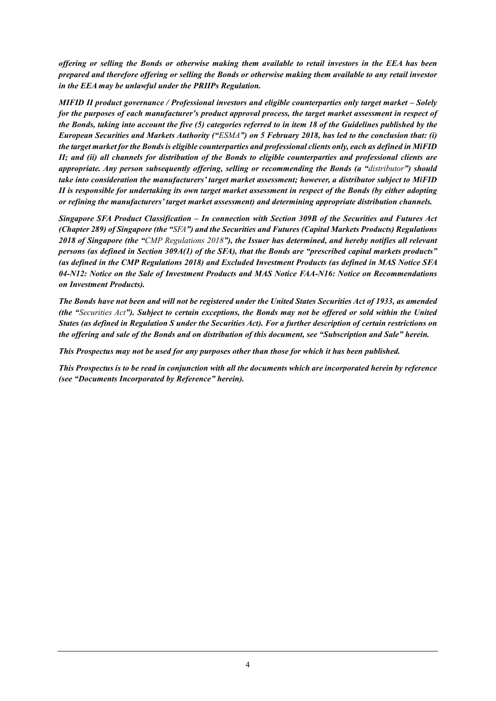*offering or selling the Bonds or otherwise making them available to retail investors in the EEA has been prepared and therefore offering or selling the Bonds or otherwise making them available to any retail investor in the EEA may be unlawful under the PRIIPs Regulation.* 

*MIFID II product governance / Professional investors and eligible counterparties only target market – Solely for the purposes of each manufacturer's product approval process, the target market assessment in respect of the Bonds, taking into account the five (5) categories referred to in item 18 of the Guidelines published by the European Securities and Markets Authority ("ESMA") on 5 February 2018, has led to the conclusion that: (i) the target market for the Bonds is eligible counterparties and professional clients only, each as defined in MiFID II; and (ii) all channels for distribution of the Bonds to eligible counterparties and professional clients are appropriate. Any person subsequently offering, selling or recommending the Bonds (a "distributor") should take into consideration the manufacturers' target market assessment; however, a distributor subject to MiFID II is responsible for undertaking its own target market assessment in respect of the Bonds (by either adopting or refining the manufacturers' target market assessment) and determining appropriate distribution channels.* 

*Singapore SFA Product Classification – In connection with Section 309B of the Securities and Futures Act (Chapter 289) of Singapore (the "SFA") and the Securities and Futures (Capital Markets Products) Regulations 2018 of Singapore (the "CMP Regulations 2018"), the Issuer has determined, and hereby notifies all relevant persons (as defined in Section 309A(1) of the SFA), that the Bonds are "prescribed capital markets products" (as defined in the CMP Regulations 2018) and Excluded Investment Products (as defined in MAS Notice SFA 04-N12: Notice on the Sale of Investment Products and MAS Notice FAA-N16: Notice on Recommendations on Investment Products).* 

*The Bonds have not been and will not be registered under the United States Securities Act of 1933, as amended (the "Securities Act"). Subject to certain exceptions, the Bonds may not be offered or sold within the United States (as defined in Regulation S under the Securities Act). For a further description of certain restrictions on the offering and sale of the Bonds and on distribution of this document, see "Subscription and Sale" herein.* 

*This Prospectus may not be used for any purposes other than those for which it has been published.* 

*This Prospectus is to be read in conjunction with all the documents which are incorporated herein by reference (see "Documents Incorporated by Reference" herein).*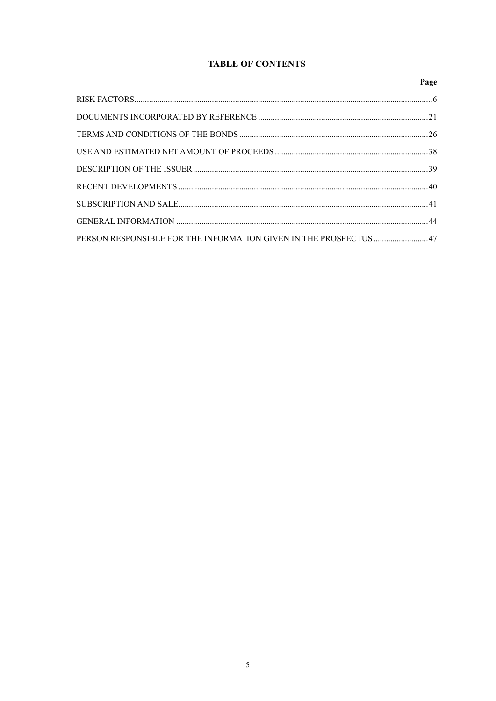# **TABLE OF CONTENTS**

|                                                                   | Page |
|-------------------------------------------------------------------|------|
|                                                                   |      |
|                                                                   |      |
|                                                                   |      |
|                                                                   |      |
|                                                                   |      |
|                                                                   |      |
|                                                                   |      |
|                                                                   |      |
| PERSON RESPONSIBLE FOR THE INFORMATION GIVEN IN THE PROSPECTUS 47 |      |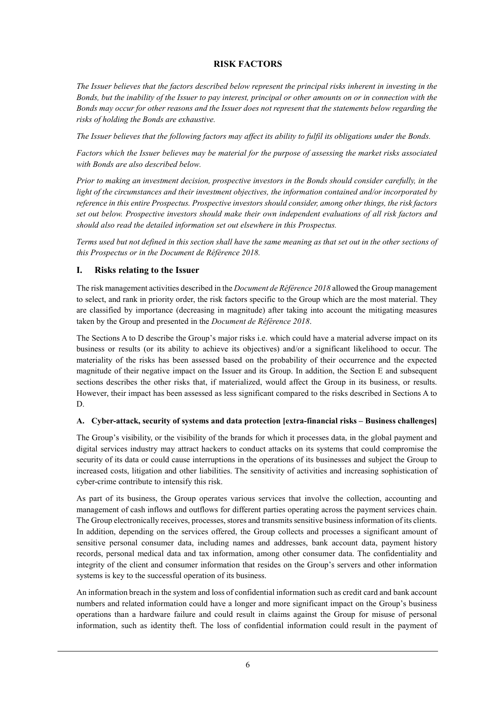## **RISK FACTORS**

*The Issuer believes that the factors described below represent the principal risks inherent in investing in the Bonds, but the inability of the Issuer to pay interest, principal or other amounts on or in connection with the Bonds may occur for other reasons and the Issuer does not represent that the statements below regarding the risks of holding the Bonds are exhaustive.* 

*The Issuer believes that the following factors may affect its ability to fulfil its obligations under the Bonds.* 

*Factors which the Issuer believes may be material for the purpose of assessing the market risks associated with Bonds are also described below.*

*Prior to making an investment decision, prospective investors in the Bonds should consider carefully, in the light of the circumstances and their investment objectives, the information contained and/or incorporated by reference in this entire Prospectus. Prospective investors should consider, among other things, the risk factors set out below. Prospective investors should make their own independent evaluations of all risk factors and should also read the detailed information set out elsewhere in this Prospectus.* 

*Terms used but not defined in this section shall have the same meaning as that set out in the other sections of this Prospectus or in the Document de Référence 2018.* 

### **I. Risks relating to the Issuer**

The risk management activities described in the *Document de Référence 2018* allowed the Group management to select, and rank in priority order, the risk factors specific to the Group which are the most material. They are classified by importance (decreasing in magnitude) after taking into account the mitigating measures taken by the Group and presented in the *Document de Référence 2018*.

The Sections A to D describe the Group's major risks i.e. which could have a material adverse impact on its business or results (or its ability to achieve its objectives) and/or a significant likelihood to occur. The materiality of the risks has been assessed based on the probability of their occurrence and the expected magnitude of their negative impact on the Issuer and its Group. In addition, the Section E and subsequent sections describes the other risks that, if materialized, would affect the Group in its business, or results. However, their impact has been assessed as less significant compared to the risks described in Sections A to D.

#### **A. Cyber-attack, security of systems and data protection [extra-financial risks – Business challenges]**

The Group's visibility, or the visibility of the brands for which it processes data, in the global payment and digital services industry may attract hackers to conduct attacks on its systems that could compromise the security of its data or could cause interruptions in the operations of its businesses and subject the Group to increased costs, litigation and other liabilities. The sensitivity of activities and increasing sophistication of cyber-crime contribute to intensify this risk.

As part of its business, the Group operates various services that involve the collection, accounting and management of cash inflows and outflows for different parties operating across the payment services chain. The Group electronically receives, processes, stores and transmits sensitive business information of its clients. In addition, depending on the services offered, the Group collects and processes a significant amount of sensitive personal consumer data, including names and addresses, bank account data, payment history records, personal medical data and tax information, among other consumer data. The confidentiality and integrity of the client and consumer information that resides on the Group's servers and other information systems is key to the successful operation of its business.

An information breach in the system and loss of confidential information such as credit card and bank account numbers and related information could have a longer and more significant impact on the Group's business operations than a hardware failure and could result in claims against the Group for misuse of personal information, such as identity theft. The loss of confidential information could result in the payment of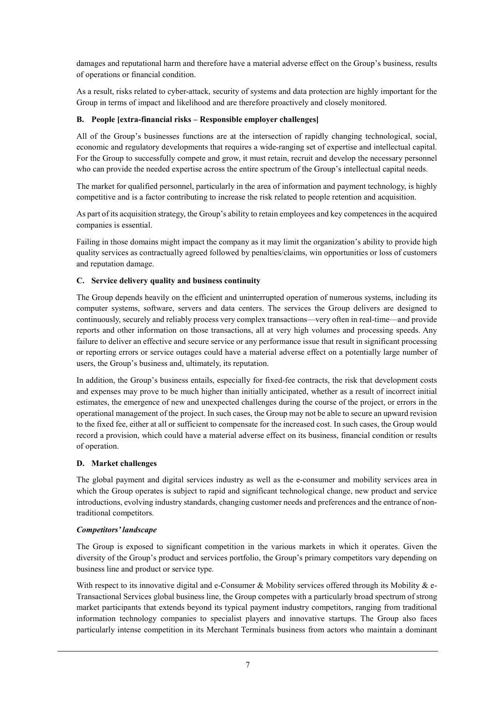damages and reputational harm and therefore have a material adverse effect on the Group's business, results of operations or financial condition.

As a result, risks related to cyber-attack, security of systems and data protection are highly important for the Group in terms of impact and likelihood and are therefore proactively and closely monitored.

### **B. People [extra-financial risks – Responsible employer challenges]**

All of the Group's businesses functions are at the intersection of rapidly changing technological, social, economic and regulatory developments that requires a wide-ranging set of expertise and intellectual capital. For the Group to successfully compete and grow, it must retain, recruit and develop the necessary personnel who can provide the needed expertise across the entire spectrum of the Group's intellectual capital needs.

The market for qualified personnel, particularly in the area of information and payment technology, is highly competitive and is a factor contributing to increase the risk related to people retention and acquisition.

As part of its acquisition strategy, the Group's ability to retain employees and key competences in the acquired companies is essential.

Failing in those domains might impact the company as it may limit the organization's ability to provide high quality services as contractually agreed followed by penalties/claims, win opportunities or loss of customers and reputation damage.

### **C. Service delivery quality and business continuity**

The Group depends heavily on the efficient and uninterrupted operation of numerous systems, including its computer systems, software, servers and data centers. The services the Group delivers are designed to continuously, securely and reliably process very complex transactions—very often in real-time—and provide reports and other information on those transactions, all at very high volumes and processing speeds. Any failure to deliver an effective and secure service or any performance issue that result in significant processing or reporting errors or service outages could have a material adverse effect on a potentially large number of users, the Group's business and, ultimately, its reputation.

In addition, the Group's business entails, especially for fixed-fee contracts, the risk that development costs and expenses may prove to be much higher than initially anticipated, whether as a result of incorrect initial estimates, the emergence of new and unexpected challenges during the course of the project, or errors in the operational management of the project. In such cases, the Group may not be able to secure an upward revision to the fixed fee, either at all or sufficient to compensate for the increased cost. In such cases, the Group would record a provision, which could have a material adverse effect on its business, financial condition or results of operation.

#### **D. Market challenges**

The global payment and digital services industry as well as the e-consumer and mobility services area in which the Group operates is subject to rapid and significant technological change, new product and service introductions, evolving industry standards, changing customer needs and preferences and the entrance of nontraditional competitors.

#### *Competitors' landscape*

The Group is exposed to significant competition in the various markets in which it operates. Given the diversity of the Group's product and services portfolio, the Group's primary competitors vary depending on business line and product or service type.

With respect to its innovative digital and e-Consumer & Mobility services offered through its Mobility  $\&$  e-Transactional Services global business line, the Group competes with a particularly broad spectrum of strong market participants that extends beyond its typical payment industry competitors, ranging from traditional information technology companies to specialist players and innovative startups. The Group also faces particularly intense competition in its Merchant Terminals business from actors who maintain a dominant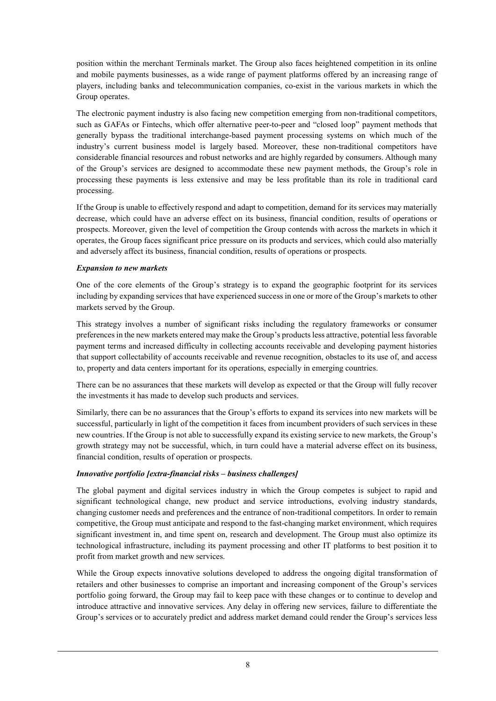position within the merchant Terminals market. The Group also faces heightened competition in its online and mobile payments businesses, as a wide range of payment platforms offered by an increasing range of players, including banks and telecommunication companies, co-exist in the various markets in which the Group operates.

The electronic payment industry is also facing new competition emerging from non-traditional competitors, such as GAFAs or Fintechs, which offer alternative peer-to-peer and "closed loop" payment methods that generally bypass the traditional interchange-based payment processing systems on which much of the industry's current business model is largely based. Moreover, these non-traditional competitors have considerable financial resources and robust networks and are highly regarded by consumers. Although many of the Group's services are designed to accommodate these new payment methods, the Group's role in processing these payments is less extensive and may be less profitable than its role in traditional card processing.

If the Group is unable to effectively respond and adapt to competition, demand for its services may materially decrease, which could have an adverse effect on its business, financial condition, results of operations or prospects. Moreover, given the level of competition the Group contends with across the markets in which it operates, the Group faces significant price pressure on its products and services, which could also materially and adversely affect its business, financial condition, results of operations or prospects.

#### *Expansion to new markets*

One of the core elements of the Group's strategy is to expand the geographic footprint for its services including by expanding services that have experienced success in one or more of the Group's markets to other markets served by the Group.

This strategy involves a number of significant risks including the regulatory frameworks or consumer preferences in the new markets entered may make the Group's products less attractive, potential less favorable payment terms and increased difficulty in collecting accounts receivable and developing payment histories that support collectability of accounts receivable and revenue recognition, obstacles to its use of, and access to, property and data centers important for its operations, especially in emerging countries.

There can be no assurances that these markets will develop as expected or that the Group will fully recover the investments it has made to develop such products and services.

Similarly, there can be no assurances that the Group's efforts to expand its services into new markets will be successful, particularly in light of the competition it faces from incumbent providers of such services in these new countries. If the Group is not able to successfully expand its existing service to new markets, the Group's growth strategy may not be successful, which, in turn could have a material adverse effect on its business, financial condition, results of operation or prospects.

#### *Innovative portfolio [extra-financial risks – business challenges]*

The global payment and digital services industry in which the Group competes is subject to rapid and significant technological change, new product and service introductions, evolving industry standards, changing customer needs and preferences and the entrance of non-traditional competitors. In order to remain competitive, the Group must anticipate and respond to the fast-changing market environment, which requires significant investment in, and time spent on, research and development. The Group must also optimize its technological infrastructure, including its payment processing and other IT platforms to best position it to profit from market growth and new services.

While the Group expects innovative solutions developed to address the ongoing digital transformation of retailers and other businesses to comprise an important and increasing component of the Group's services portfolio going forward, the Group may fail to keep pace with these changes or to continue to develop and introduce attractive and innovative services. Any delay in offering new services, failure to differentiate the Group's services or to accurately predict and address market demand could render the Group's services less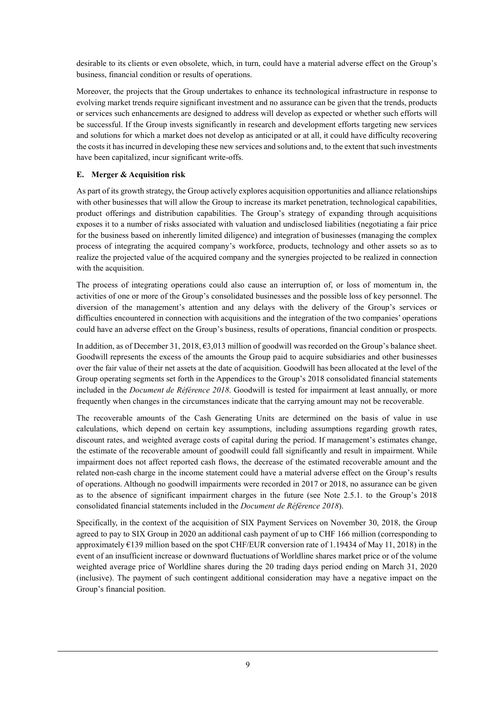desirable to its clients or even obsolete, which, in turn, could have a material adverse effect on the Group's business, financial condition or results of operations.

Moreover, the projects that the Group undertakes to enhance its technological infrastructure in response to evolving market trends require significant investment and no assurance can be given that the trends, products or services such enhancements are designed to address will develop as expected or whether such efforts will be successful. If the Group invests significantly in research and development efforts targeting new services and solutions for which a market does not develop as anticipated or at all, it could have difficulty recovering the costs it has incurred in developing these new services and solutions and, to the extent that such investments have been capitalized, incur significant write-offs.

### **E. Merger & Acquisition risk**

As part of its growth strategy, the Group actively explores acquisition opportunities and alliance relationships with other businesses that will allow the Group to increase its market penetration, technological capabilities, product offerings and distribution capabilities. The Group's strategy of expanding through acquisitions exposes it to a number of risks associated with valuation and undisclosed liabilities (negotiating a fair price for the business based on inherently limited diligence) and integration of businesses (managing the complex process of integrating the acquired company's workforce, products, technology and other assets so as to realize the projected value of the acquired company and the synergies projected to be realized in connection with the acquisition.

The process of integrating operations could also cause an interruption of, or loss of momentum in, the activities of one or more of the Group's consolidated businesses and the possible loss of key personnel. The diversion of the management's attention and any delays with the delivery of the Group's services or difficulties encountered in connection with acquisitions and the integration of the two companies' operations could have an adverse effect on the Group's business, results of operations, financial condition or prospects.

In addition, as of December 31, 2018, €3,013 million of goodwill was recorded on the Group's balance sheet. Goodwill represents the excess of the amounts the Group paid to acquire subsidiaries and other businesses over the fair value of their net assets at the date of acquisition. Goodwill has been allocated at the level of the Group operating segments set forth in the Appendices to the Group's 2018 consolidated financial statements included in the *Document de Référence 2018*. Goodwill is tested for impairment at least annually, or more frequently when changes in the circumstances indicate that the carrying amount may not be recoverable.

The recoverable amounts of the Cash Generating Units are determined on the basis of value in use calculations, which depend on certain key assumptions, including assumptions regarding growth rates, discount rates, and weighted average costs of capital during the period. If management's estimates change, the estimate of the recoverable amount of goodwill could fall significantly and result in impairment. While impairment does not affect reported cash flows, the decrease of the estimated recoverable amount and the related non-cash charge in the income statement could have a material adverse effect on the Group's results of operations. Although no goodwill impairments were recorded in 2017 or 2018, no assurance can be given as to the absence of significant impairment charges in the future (see Note 2.5.1. to the Group's 2018 consolidated financial statements included in the *Document de Référence 2018*).

Specifically, in the context of the acquisition of SIX Payment Services on November 30, 2018, the Group agreed to pay to SIX Group in 2020 an additional cash payment of up to CHF 166 million (corresponding to approximately €139 million based on the spot CHF/EUR conversion rate of 1.19434 of May 11, 2018) in the event of an insufficient increase or downward fluctuations of Worldline shares market price or of the volume weighted average price of Worldline shares during the 20 trading days period ending on March 31, 2020 (inclusive). The payment of such contingent additional consideration may have a negative impact on the Group's financial position.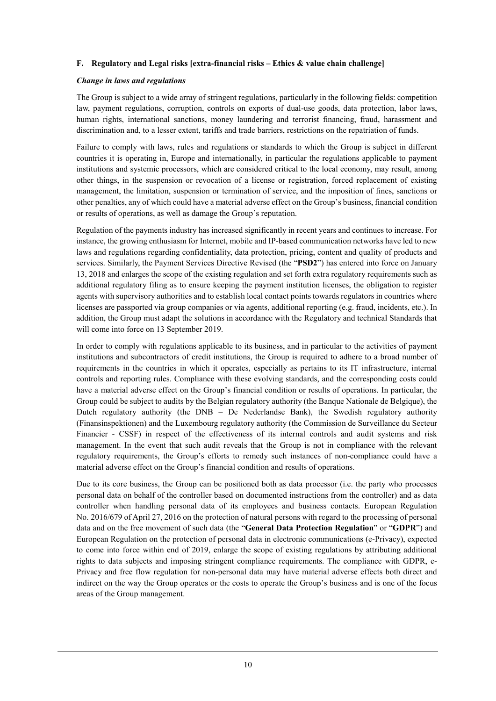#### **F. Regulatory and Legal risks [extra-financial risks – Ethics & value chain challenge]**

#### *Change in laws and regulations*

The Group is subject to a wide array of stringent regulations, particularly in the following fields: competition law, payment regulations, corruption, controls on exports of dual-use goods, data protection, labor laws, human rights, international sanctions, money laundering and terrorist financing, fraud, harassment and discrimination and, to a lesser extent, tariffs and trade barriers, restrictions on the repatriation of funds.

Failure to comply with laws, rules and regulations or standards to which the Group is subject in different countries it is operating in, Europe and internationally, in particular the regulations applicable to payment institutions and systemic processors, which are considered critical to the local economy, may result, among other things, in the suspension or revocation of a license or registration, forced replacement of existing management, the limitation, suspension or termination of service, and the imposition of fines, sanctions or other penalties, any of which could have a material adverse effect on the Group's business, financial condition or results of operations, as well as damage the Group's reputation.

Regulation of the payments industry has increased significantly in recent years and continues to increase. For instance, the growing enthusiasm for Internet, mobile and IP-based communication networks have led to new laws and regulations regarding confidentiality, data protection, pricing, content and quality of products and services. Similarly, the Payment Services Directive Revised (the "**PSD2**") has entered into force on January 13, 2018 and enlarges the scope of the existing regulation and set forth extra regulatory requirements such as additional regulatory filing as to ensure keeping the payment institution licenses, the obligation to register agents with supervisory authorities and to establish local contact points towards regulators in countries where licenses are passported via group companies or via agents, additional reporting (e.g. fraud, incidents, etc.). In addition, the Group must adapt the solutions in accordance with the Regulatory and technical Standards that will come into force on 13 September 2019.

In order to comply with regulations applicable to its business, and in particular to the activities of payment institutions and subcontractors of credit institutions, the Group is required to adhere to a broad number of requirements in the countries in which it operates, especially as pertains to its IT infrastructure, internal controls and reporting rules. Compliance with these evolving standards, and the corresponding costs could have a material adverse effect on the Group's financial condition or results of operations. In particular, the Group could be subject to audits by the Belgian regulatory authority (the Banque Nationale de Belgique), the Dutch regulatory authority (the DNB – De Nederlandse Bank), the Swedish regulatory authority (Finansinspektionen) and the Luxembourg regulatory authority (the Commission de Surveillance du Secteur Financier - CSSF) in respect of the effectiveness of its internal controls and audit systems and risk management. In the event that such audit reveals that the Group is not in compliance with the relevant regulatory requirements, the Group's efforts to remedy such instances of non-compliance could have a material adverse effect on the Group's financial condition and results of operations.

Due to its core business, the Group can be positioned both as data processor (i.e. the party who processes personal data on behalf of the controller based on documented instructions from the controller) and as data controller when handling personal data of its employees and business contacts. European Regulation No. 2016/679 of April 27, 2016 on the protection of natural persons with regard to the processing of personal data and on the free movement of such data (the "**General Data Protection Regulation**" or "**GDPR**") and European Regulation on the protection of personal data in electronic communications (e-Privacy), expected to come into force within end of 2019, enlarge the scope of existing regulations by attributing additional rights to data subjects and imposing stringent compliance requirements. The compliance with GDPR, e-Privacy and free flow regulation for non-personal data may have material adverse effects both direct and indirect on the way the Group operates or the costs to operate the Group's business and is one of the focus areas of the Group management.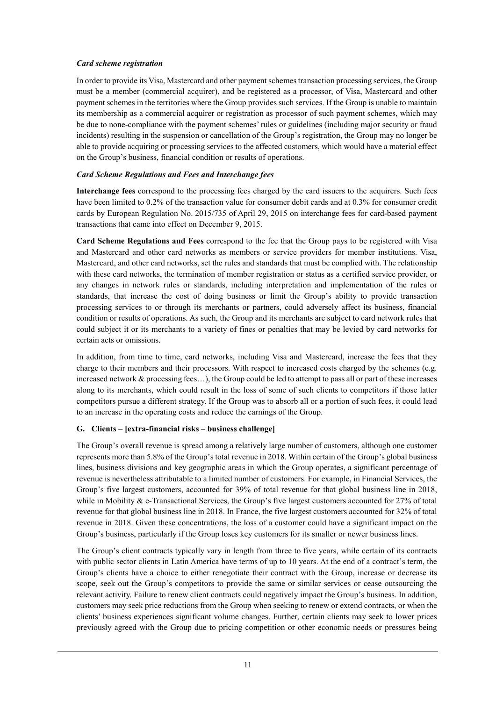#### *Card scheme registration*

In order to provide its Visa, Mastercard and other payment schemes transaction processing services, the Group must be a member (commercial acquirer), and be registered as a processor, of Visa, Mastercard and other payment schemes in the territories where the Group provides such services. If the Group is unable to maintain its membership as a commercial acquirer or registration as processor of such payment schemes, which may be due to none-compliance with the payment schemes' rules or guidelines (including major security or fraud incidents) resulting in the suspension or cancellation of the Group's registration, the Group may no longer be able to provide acquiring or processing services to the affected customers, which would have a material effect on the Group's business, financial condition or results of operations.

#### *Card Scheme Regulations and Fees and Interchange fees*

**Interchange fees** correspond to the processing fees charged by the card issuers to the acquirers. Such fees have been limited to 0.2% of the transaction value for consumer debit cards and at 0.3% for consumer credit cards by European Regulation No. 2015/735 of April 29, 2015 on interchange fees for card-based payment transactions that came into effect on December 9, 2015.

**Card Scheme Regulations and Fees** correspond to the fee that the Group pays to be registered with Visa and Mastercard and other card networks as members or service providers for member institutions. Visa, Mastercard, and other card networks, set the rules and standards that must be complied with. The relationship with these card networks, the termination of member registration or status as a certified service provider, or any changes in network rules or standards, including interpretation and implementation of the rules or standards, that increase the cost of doing business or limit the Group's ability to provide transaction processing services to or through its merchants or partners, could adversely affect its business, financial condition or results of operations. As such, the Group and its merchants are subject to card network rules that could subject it or its merchants to a variety of fines or penalties that may be levied by card networks for certain acts or omissions.

In addition, from time to time, card networks, including Visa and Mastercard, increase the fees that they charge to their members and their processors. With respect to increased costs charged by the schemes (e.g. increased network  $&$  processing fees...), the Group could be led to attempt to pass all or part of these increases along to its merchants, which could result in the loss of some of such clients to competitors if those latter competitors pursue a different strategy. If the Group was to absorb all or a portion of such fees, it could lead to an increase in the operating costs and reduce the earnings of the Group.

#### **G. Clients – [extra-financial risks – business challenge]**

The Group's overall revenue is spread among a relatively large number of customers, although one customer represents more than 5.8% of the Group's total revenue in 2018. Within certain of the Group's global business lines, business divisions and key geographic areas in which the Group operates, a significant percentage of revenue is nevertheless attributable to a limited number of customers. For example, in Financial Services, the Group's five largest customers, accounted for 39% of total revenue for that global business line in 2018, while in Mobility & e-Transactional Services, the Group's five largest customers accounted for 27% of total revenue for that global business line in 2018. In France, the five largest customers accounted for 32% of total revenue in 2018. Given these concentrations, the loss of a customer could have a significant impact on the Group's business, particularly if the Group loses key customers for its smaller or newer business lines.

The Group's client contracts typically vary in length from three to five years, while certain of its contracts with public sector clients in Latin America have terms of up to 10 years. At the end of a contract's term, the Group's clients have a choice to either renegotiate their contract with the Group, increase or decrease its scope, seek out the Group's competitors to provide the same or similar services or cease outsourcing the relevant activity. Failure to renew client contracts could negatively impact the Group's business. In addition, customers may seek price reductions from the Group when seeking to renew or extend contracts, or when the clients' business experiences significant volume changes. Further, certain clients may seek to lower prices previously agreed with the Group due to pricing competition or other economic needs or pressures being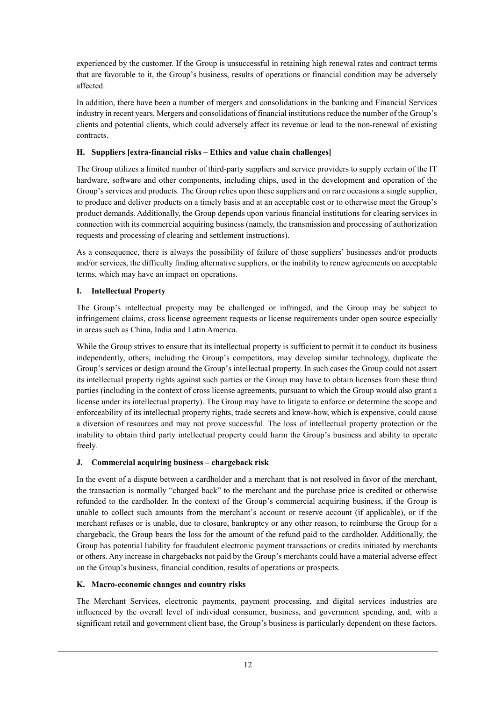experienced by the customer. If the Group is unsuccessful in retaining high renewal rates and contract terms that are favorable to it, the Group's business, results of operations or financial condition may be adversely affected.

In addition, there have been a number of mergers and consolidations in the banking and Financial Services industry in recent years. Mergers and consolidations of financial institutions reduce the number of the Group's clients and potential clients, which could adversely affect its revenue or lead to the non-renewal of existing contracts.

### **H. Suppliers [extra-financial risks – Ethics and value chain challenges]**

The Group utilizes a limited number of third-party suppliers and service providers to supply certain of the IT hardware, software and other components, including chips, used in the development and operation of the Group's services and products. The Group relies upon these suppliers and on rare occasions a single supplier, to produce and deliver products on a timely basis and at an acceptable cost or to otherwise meet the Group's product demands. Additionally, the Group depends upon various financial institutions for clearing services in connection with its commercial acquiring business (namely, the transmission and processing of authorization requests and processing of clearing and settlement instructions).

As a consequence, there is always the possibility of failure of those suppliers' businesses and/or products and/or services, the difficulty finding alternative suppliers, or the inability to renew agreements on acceptable terms, which may have an impact on operations.

### **I. Intellectual Property**

The Group's intellectual property may be challenged or infringed, and the Group may be subject to infringement claims, cross license agreement requests or license requirements under open source especially in areas such as China, India and Latin America.

While the Group strives to ensure that its intellectual property is sufficient to permit it to conduct its business independently, others, including the Group's competitors, may develop similar technology, duplicate the Group's services or design around the Group's intellectual property. In such cases the Group could not assert its intellectual property rights against such parties or the Group may have to obtain licenses from these third parties (including in the context of cross license agreements, pursuant to which the Group would also grant a license under its intellectual property). The Group may have to litigate to enforce or determine the scope and enforceability of its intellectual property rights, trade secrets and know-how, which is expensive, could cause a diversion of resources and may not prove successful. The loss of intellectual property protection or the inability to obtain third party intellectual property could harm the Group's business and ability to operate freely.

### **J. Commercial acquiring business – chargeback risk**

In the event of a dispute between a cardholder and a merchant that is not resolved in favor of the merchant, the transaction is normally "charged back" to the merchant and the purchase price is credited or otherwise refunded to the cardholder. In the context of the Group's commercial acquiring business, if the Group is unable to collect such amounts from the merchant's account or reserve account (if applicable), or if the merchant refuses or is unable, due to closure, bankruptcy or any other reason, to reimburse the Group for a chargeback, the Group bears the loss for the amount of the refund paid to the cardholder. Additionally, the Group has potential liability for fraudulent electronic payment transactions or credits initiated by merchants or others. Any increase in chargebacks not paid by the Group's merchants could have a material adverse effect on the Group's business, financial condition, results of operations or prospects.

#### **K. Macro-economic changes and country risks**

The Merchant Services, electronic payments, payment processing, and digital services industries are influenced by the overall level of individual consumer, business, and government spending, and, with a significant retail and government client base, the Group's business is particularly dependent on these factors.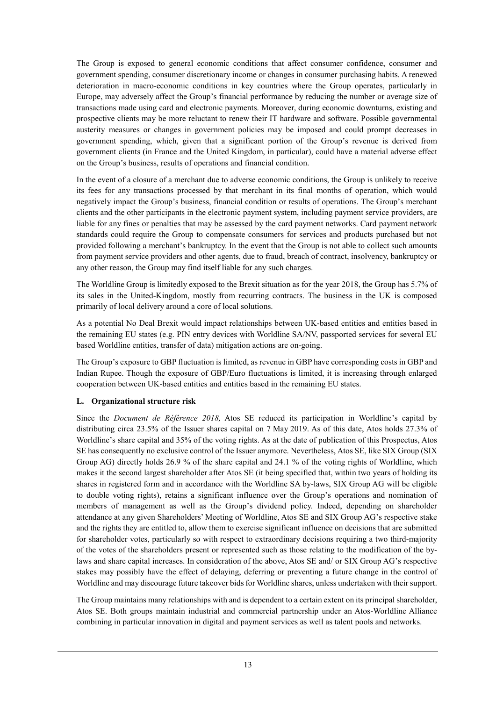The Group is exposed to general economic conditions that affect consumer confidence, consumer and government spending, consumer discretionary income or changes in consumer purchasing habits. A renewed deterioration in macro-economic conditions in key countries where the Group operates, particularly in Europe, may adversely affect the Group's financial performance by reducing the number or average size of transactions made using card and electronic payments. Moreover, during economic downturns, existing and prospective clients may be more reluctant to renew their IT hardware and software. Possible governmental austerity measures or changes in government policies may be imposed and could prompt decreases in government spending, which, given that a significant portion of the Group's revenue is derived from government clients (in France and the United Kingdom, in particular), could have a material adverse effect on the Group's business, results of operations and financial condition.

In the event of a closure of a merchant due to adverse economic conditions, the Group is unlikely to receive its fees for any transactions processed by that merchant in its final months of operation, which would negatively impact the Group's business, financial condition or results of operations. The Group's merchant clients and the other participants in the electronic payment system, including payment service providers, are liable for any fines or penalties that may be assessed by the card payment networks. Card payment network standards could require the Group to compensate consumers for services and products purchased but not provided following a merchant's bankruptcy. In the event that the Group is not able to collect such amounts from payment service providers and other agents, due to fraud, breach of contract, insolvency, bankruptcy or any other reason, the Group may find itself liable for any such charges.

The Worldline Group is limitedly exposed to the Brexit situation as for the year 2018, the Group has 5.7% of its sales in the United-Kingdom, mostly from recurring contracts. The business in the UK is composed primarily of local delivery around a core of local solutions.

As a potential No Deal Brexit would impact relationships between UK-based entities and entities based in the remaining EU states (e.g. PIN entry devices with Worldline SA/NV, passported services for several EU based Worldline entities, transfer of data) mitigation actions are on-going.

The Group's exposure to GBP fluctuation is limited, as revenue in GBP have corresponding costs in GBP and Indian Rupee. Though the exposure of GBP/Euro fluctuations is limited, it is increasing through enlarged cooperation between UK-based entities and entities based in the remaining EU states.

#### **L. Organizational structure risk**

Since the *Document de Référence 2018,* Atos SE reduced its participation in Worldline's capital by distributing circa 23.5% of the Issuer shares capital on 7 May 2019. As of this date, Atos holds 27.3% of Worldline's share capital and 35% of the voting rights. As at the date of publication of this Prospectus, Atos SE has consequently no exclusive control of the Issuer anymore. Nevertheless, Atos SE, like SIX Group (SIX Group AG) directly holds 26.9 % of the share capital and 24.1 % of the voting rights of Worldline, which makes it the second largest shareholder after Atos SE (it being specified that, within two years of holding its shares in registered form and in accordance with the Worldline SA by-laws, SIX Group AG will be eligible to double voting rights), retains a significant influence over the Group's operations and nomination of members of management as well as the Group's dividend policy. Indeed, depending on shareholder attendance at any given Shareholders' Meeting of Worldline, Atos SE and SIX Group AG's respective stake and the rights they are entitled to, allow them to exercise significant influence on decisions that are submitted for shareholder votes, particularly so with respect to extraordinary decisions requiring a two third-majority of the votes of the shareholders present or represented such as those relating to the modification of the bylaws and share capital increases. In consideration of the above, Atos SE and/ or SIX Group AG's respective stakes may possibly have the effect of delaying, deferring or preventing a future change in the control of Worldline and may discourage future takeover bids for Worldline shares, unless undertaken with their support.

The Group maintains many relationships with and is dependent to a certain extent on its principal shareholder, Atos SE. Both groups maintain industrial and commercial partnership under an Atos-Worldline Alliance combining in particular innovation in digital and payment services as well as talent pools and networks.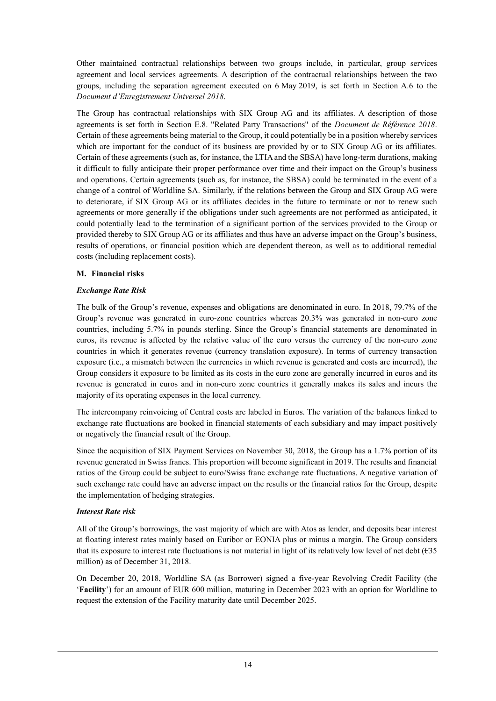Other maintained contractual relationships between two groups include, in particular, group services agreement and local services agreements. A description of the contractual relationships between the two groups, including the separation agreement executed on 6 May 2019, is set forth in Section A.6 to the *Document d'Enregistrement Universel 2018*.

The Group has contractual relationships with SIX Group AG and its affiliates. A description of those agreements is set forth in Section E.8. "Related Party Transactions" of the *Document de Référence 2018*. Certain of these agreements being material to the Group, it could potentially be in a position whereby services which are important for the conduct of its business are provided by or to SIX Group AG or its affiliates. Certain of these agreements (such as, for instance, the LTIA and the SBSA) have long-term durations, making it difficult to fully anticipate their proper performance over time and their impact on the Group's business and operations. Certain agreements (such as, for instance, the SBSA) could be terminated in the event of a change of a control of Worldline SA. Similarly, if the relations between the Group and SIX Group AG were to deteriorate, if SIX Group AG or its affiliates decides in the future to terminate or not to renew such agreements or more generally if the obligations under such agreements are not performed as anticipated, it could potentially lead to the termination of a significant portion of the services provided to the Group or provided thereby to SIX Group AG or its affiliates and thus have an adverse impact on the Group's business, results of operations, or financial position which are dependent thereon, as well as to additional remedial costs (including replacement costs).

#### **M. Financial risks**

#### *Exchange Rate Risk*

The bulk of the Group's revenue, expenses and obligations are denominated in euro. In 2018, 79.7% of the Group's revenue was generated in euro-zone countries whereas 20.3% was generated in non-euro zone countries, including 5.7% in pounds sterling. Since the Group's financial statements are denominated in euros, its revenue is affected by the relative value of the euro versus the currency of the non-euro zone countries in which it generates revenue (currency translation exposure). In terms of currency transaction exposure (i.e., a mismatch between the currencies in which revenue is generated and costs are incurred), the Group considers it exposure to be limited as its costs in the euro zone are generally incurred in euros and its revenue is generated in euros and in non-euro zone countries it generally makes its sales and incurs the majority of its operating expenses in the local currency.

The intercompany reinvoicing of Central costs are labeled in Euros. The variation of the balances linked to exchange rate fluctuations are booked in financial statements of each subsidiary and may impact positively or negatively the financial result of the Group.

Since the acquisition of SIX Payment Services on November 30, 2018, the Group has a 1.7% portion of its revenue generated in Swiss francs. This proportion will become significant in 2019. The results and financial ratios of the Group could be subject to euro/Swiss franc exchange rate fluctuations. A negative variation of such exchange rate could have an adverse impact on the results or the financial ratios for the Group, despite the implementation of hedging strategies.

#### *Interest Rate risk*

All of the Group's borrowings, the vast majority of which are with Atos as lender, and deposits bear interest at floating interest rates mainly based on Euribor or EONIA plus or minus a margin. The Group considers that its exposure to interest rate fluctuations is not material in light of its relatively low level of net debt ( $635$ ) million) as of December 31, 2018.

On December 20, 2018, Worldline SA (as Borrower) signed a five-year Revolving Credit Facility (the '**Facility**') for an amount of EUR 600 million, maturing in December 2023 with an option for Worldline to request the extension of the Facility maturity date until December 2025.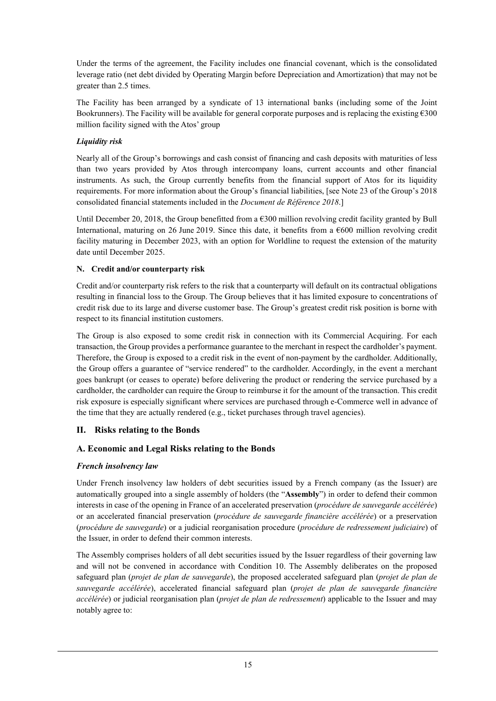Under the terms of the agreement, the Facility includes one financial covenant, which is the consolidated leverage ratio (net debt divided by Operating Margin before Depreciation and Amortization) that may not be greater than 2.5 times.

The Facility has been arranged by a syndicate of 13 international banks (including some of the Joint Bookrunners). The Facility will be available for general corporate purposes and is replacing the existing  $\epsilon$ 300 million facility signed with the Atos' group

### *Liquidity risk*

Nearly all of the Group's borrowings and cash consist of financing and cash deposits with maturities of less than two years provided by Atos through intercompany loans, current accounts and other financial instruments. As such, the Group currently benefits from the financial support of Atos for its liquidity requirements. For more information about the Group's financial liabilities, [see Note 23 of the Group's 2018 consolidated financial statements included in the *Document de Référence 2018*.]

Until December 20, 2018, the Group benefitted from a  $\epsilon$ 300 million revolving credit facility granted by Bull International, maturing on 26 June 2019. Since this date, it benefits from a  $6000$  million revolving credit facility maturing in December 2023, with an option for Worldline to request the extension of the maturity date until December 2025.

## **N. Credit and/or counterparty risk**

Credit and/or counterparty risk refers to the risk that a counterparty will default on its contractual obligations resulting in financial loss to the Group. The Group believes that it has limited exposure to concentrations of credit risk due to its large and diverse customer base. The Group's greatest credit risk position is borne with respect to its financial institution customers.

The Group is also exposed to some credit risk in connection with its Commercial Acquiring. For each transaction, the Group provides a performance guarantee to the merchant in respect the cardholder's payment. Therefore, the Group is exposed to a credit risk in the event of non-payment by the cardholder. Additionally, the Group offers a guarantee of "service rendered" to the cardholder. Accordingly, in the event a merchant goes bankrupt (or ceases to operate) before delivering the product or rendering the service purchased by a cardholder, the cardholder can require the Group to reimburse it for the amount of the transaction. This credit risk exposure is especially significant where services are purchased through e-Commerce well in advance of the time that they are actually rendered (e.g., ticket purchases through travel agencies).

# **II. Risks relating to the Bonds**

# **A. Economic and Legal Risks relating to the Bonds**

# *French insolvency law*

Under French insolvency law holders of debt securities issued by a French company (as the Issuer) are automatically grouped into a single assembly of holders (the "**Assembly**") in order to defend their common interests in case of the opening in France of an accelerated preservation (*procédure de sauvegarde accélérée*) or an accelerated financial preservation (*procédure de sauvegarde financière accélérée*) or a preservation (*procédure de sauvegarde*) or a judicial reorganisation procedure (*procédure de redressement judiciaire*) of the Issuer, in order to defend their common interests.

The Assembly comprises holders of all debt securities issued by the Issuer regardless of their governing law and will not be convened in accordance with Condition 10. The Assembly deliberates on the proposed safeguard plan (*projet de plan de sauvegarde*), the proposed accelerated safeguard plan (*projet de plan de sauvegarde accélérée*), accelerated financial safeguard plan (*projet de plan de sauvegarde financière accélérée*) or judicial reorganisation plan (*projet de plan de redressement*) applicable to the Issuer and may notably agree to: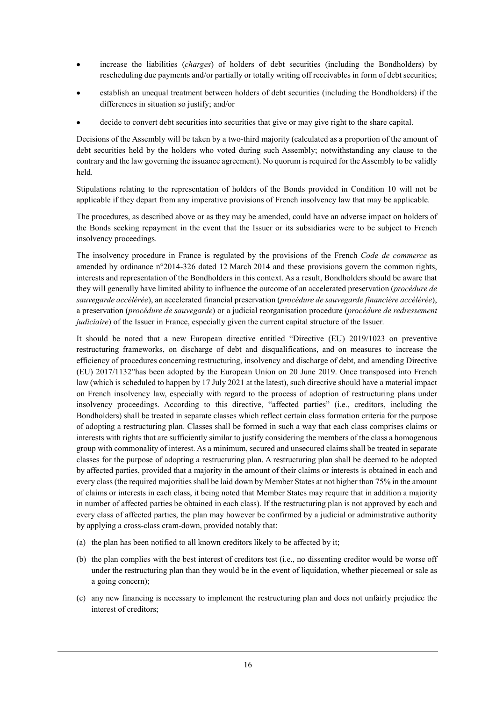- increase the liabilities (*charges*) of holders of debt securities (including the Bondholders) by rescheduling due payments and/or partially or totally writing off receivables in form of debt securities;
- establish an unequal treatment between holders of debt securities (including the Bondholders) if the differences in situation so justify; and/or
- decide to convert debt securities into securities that give or may give right to the share capital.

Decisions of the Assembly will be taken by a two-third majority (calculated as a proportion of the amount of debt securities held by the holders who voted during such Assembly; notwithstanding any clause to the contrary and the law governing the issuance agreement). No quorum is required for the Assembly to be validly held.

Stipulations relating to the representation of holders of the Bonds provided in Condition 10 will not be applicable if they depart from any imperative provisions of French insolvency law that may be applicable.

The procedures, as described above or as they may be amended, could have an adverse impact on holders of the Bonds seeking repayment in the event that the Issuer or its subsidiaries were to be subject to French insolvency proceedings.

The insolvency procedure in France is regulated by the provisions of the French *Code de commerce* as amended by ordinance n°2014-326 dated 12 March 2014 and these provisions govern the common rights, interests and representation of the Bondholders in this context. As a result, Bondholders should be aware that they will generally have limited ability to influence the outcome of an accelerated preservation (*procédure de sauvegarde accélérée*), an accelerated financial preservation (*procédure de sauvegarde financière accélérée*), a preservation (*procédure de sauvegarde*) or a judicial reorganisation procedure (*procédure de redressement judiciaire*) of the Issuer in France, especially given the current capital structure of the Issuer.

It should be noted that a new European directive entitled "Directive (EU) 2019/1023 on preventive restructuring frameworks, on discharge of debt and disqualifications, and on measures to increase the efficiency of procedures concerning restructuring, insolvency and discharge of debt, and amending Directive (EU) 2017/1132"has been adopted by the European Union on 20 June 2019. Once transposed into French law (which is scheduled to happen by 17 July 2021 at the latest), such directive should have a material impact on French insolvency law, especially with regard to the process of adoption of restructuring plans under insolvency proceedings. According to this directive, "affected parties" (i.e., creditors, including the Bondholders) shall be treated in separate classes which reflect certain class formation criteria for the purpose of adopting a restructuring plan. Classes shall be formed in such a way that each class comprises claims or interests with rights that are sufficiently similar to justify considering the members of the class a homogenous group with commonality of interest. As a minimum, secured and unsecured claims shall be treated in separate classes for the purpose of adopting a restructuring plan. A restructuring plan shall be deemed to be adopted by affected parties, provided that a majority in the amount of their claims or interests is obtained in each and every class (the required majorities shall be laid down by Member States at not higher than 75% in the amount of claims or interests in each class, it being noted that Member States may require that in addition a majority in number of affected parties be obtained in each class). If the restructuring plan is not approved by each and every class of affected parties, the plan may however be confirmed by a judicial or administrative authority by applying a cross-class cram-down, provided notably that:

- (a) the plan has been notified to all known creditors likely to be affected by it;
- (b) the plan complies with the best interest of creditors test (i.e., no dissenting creditor would be worse off under the restructuring plan than they would be in the event of liquidation, whether piecemeal or sale as a going concern);
- (c) any new financing is necessary to implement the restructuring plan and does not unfairly prejudice the interest of creditors;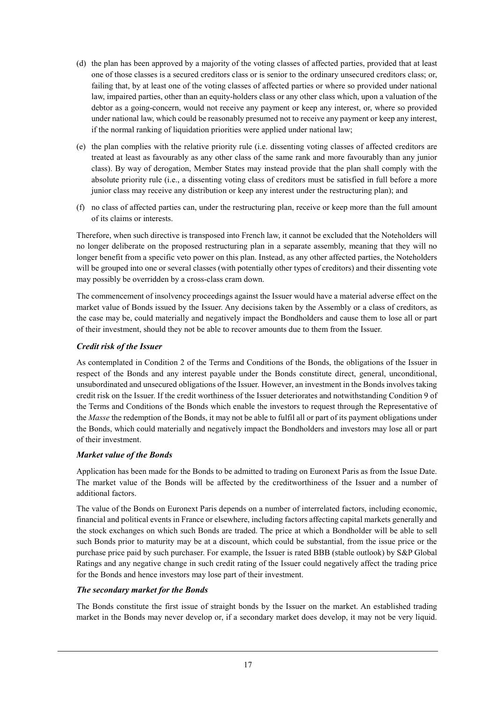- (d) the plan has been approved by a majority of the voting classes of affected parties, provided that at least one of those classes is a secured creditors class or is senior to the ordinary unsecured creditors class; or, failing that, by at least one of the voting classes of affected parties or where so provided under national law, impaired parties, other than an equity-holders class or any other class which, upon a valuation of the debtor as a going-concern, would not receive any payment or keep any interest, or, where so provided under national law, which could be reasonably presumed not to receive any payment or keep any interest, if the normal ranking of liquidation priorities were applied under national law;
- (e) the plan complies with the relative priority rule (i.e. dissenting voting classes of affected creditors are treated at least as favourably as any other class of the same rank and more favourably than any junior class). By way of derogation, Member States may instead provide that the plan shall comply with the absolute priority rule (i.e., a dissenting voting class of creditors must be satisfied in full before a more junior class may receive any distribution or keep any interest under the restructuring plan); and
- (f) no class of affected parties can, under the restructuring plan, receive or keep more than the full amount of its claims or interests.

Therefore, when such directive is transposed into French law, it cannot be excluded that the Noteholders will no longer deliberate on the proposed restructuring plan in a separate assembly, meaning that they will no longer benefit from a specific veto power on this plan. Instead, as any other affected parties, the Noteholders will be grouped into one or several classes (with potentially other types of creditors) and their dissenting vote may possibly be overridden by a cross-class cram down.

The commencement of insolvency proceedings against the Issuer would have a material adverse effect on the market value of Bonds issued by the Issuer. Any decisions taken by the Assembly or a class of creditors, as the case may be, could materially and negatively impact the Bondholders and cause them to lose all or part of their investment, should they not be able to recover amounts due to them from the Issuer.

### *Credit risk of the Issuer*

As contemplated in Condition 2 of the Terms and Conditions of the Bonds, the obligations of the Issuer in respect of the Bonds and any interest payable under the Bonds constitute direct, general, unconditional, unsubordinated and unsecured obligations of the Issuer. However, an investment in the Bonds involves taking credit risk on the Issuer. If the credit worthiness of the Issuer deteriorates and notwithstanding Condition 9 of the Terms and Conditions of the Bonds which enable the investors to request through the Representative of the *Masse* the redemption of the Bonds, it may not be able to fulfil all or part of its payment obligations under the Bonds, which could materially and negatively impact the Bondholders and investors may lose all or part of their investment.

#### *Market value of the Bonds*

Application has been made for the Bonds to be admitted to trading on Euronext Paris as from the Issue Date. The market value of the Bonds will be affected by the creditworthiness of the Issuer and a number of additional factors.

The value of the Bonds on Euronext Paris depends on a number of interrelated factors, including economic, financial and political events in France or elsewhere, including factors affecting capital markets generally and the stock exchanges on which such Bonds are traded. The price at which a Bondholder will be able to sell such Bonds prior to maturity may be at a discount, which could be substantial, from the issue price or the purchase price paid by such purchaser. For example, the Issuer is rated BBB (stable outlook) by S&P Global Ratings and any negative change in such credit rating of the Issuer could negatively affect the trading price for the Bonds and hence investors may lose part of their investment.

#### *The secondary market for the Bonds*

The Bonds constitute the first issue of straight bonds by the Issuer on the market. An established trading market in the Bonds may never develop or, if a secondary market does develop, it may not be very liquid.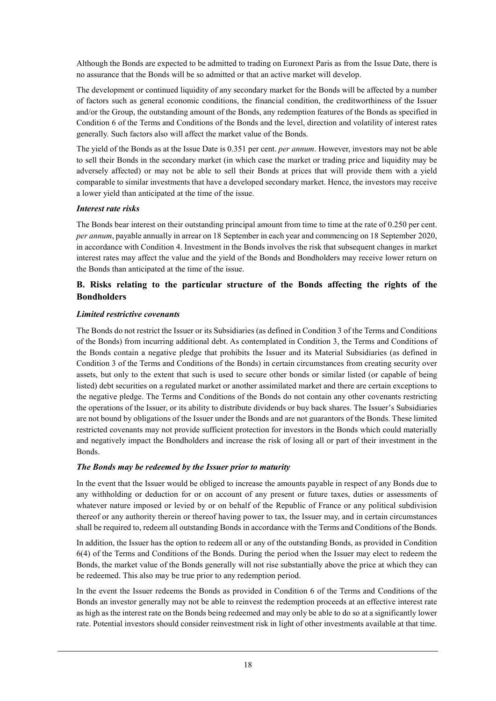Although the Bonds are expected to be admitted to trading on Euronext Paris as from the Issue Date, there is no assurance that the Bonds will be so admitted or that an active market will develop.

The development or continued liquidity of any secondary market for the Bonds will be affected by a number of factors such as general economic conditions, the financial condition, the creditworthiness of the Issuer and/or the Group, the outstanding amount of the Bonds, any redemption features of the Bonds as specified in Condition 6 of the Terms and Conditions of the Bonds and the level, direction and volatility of interest rates generally. Such factors also will affect the market value of the Bonds.

The yield of the Bonds as at the Issue Date is 0.351 per cent. *per annum*. However, investors may not be able to sell their Bonds in the secondary market (in which case the market or trading price and liquidity may be adversely affected) or may not be able to sell their Bonds at prices that will provide them with a yield comparable to similar investments that have a developed secondary market. Hence, the investors may receive a lower yield than anticipated at the time of the issue.

#### *Interest rate risks*

The Bonds bear interest on their outstanding principal amount from time to time at the rate of 0.250 per cent. *per annum*, payable annually in arrear on 18 September in each year and commencing on 18 September 2020, in accordance with Condition 4. Investment in the Bonds involves the risk that subsequent changes in market interest rates may affect the value and the yield of the Bonds and Bondholders may receive lower return on the Bonds than anticipated at the time of the issue.

## **B. Risks relating to the particular structure of the Bonds affecting the rights of the Bondholders**

#### *Limited restrictive covenants*

The Bonds do not restrict the Issuer or its Subsidiaries (as defined in Condition 3 of the Terms and Conditions of the Bonds) from incurring additional debt. As contemplated in Condition 3, the Terms and Conditions of the Bonds contain a negative pledge that prohibits the Issuer and its Material Subsidiaries (as defined in Condition 3 of the Terms and Conditions of the Bonds) in certain circumstances from creating security over assets, but only to the extent that such is used to secure other bonds or similar listed (or capable of being listed) debt securities on a regulated market or another assimilated market and there are certain exceptions to the negative pledge. The Terms and Conditions of the Bonds do not contain any other covenants restricting the operations of the Issuer, or its ability to distribute dividends or buy back shares. The Issuer's Subsidiaries are not bound by obligations of the Issuer under the Bonds and are not guarantors of the Bonds. These limited restricted covenants may not provide sufficient protection for investors in the Bonds which could materially and negatively impact the Bondholders and increase the risk of losing all or part of their investment in the Bonds.

#### *The Bonds may be redeemed by the Issuer prior to maturity*

In the event that the Issuer would be obliged to increase the amounts payable in respect of any Bonds due to any withholding or deduction for or on account of any present or future taxes, duties or assessments of whatever nature imposed or levied by or on behalf of the Republic of France or any political subdivision thereof or any authority therein or thereof having power to tax, the Issuer may, and in certain circumstances shall be required to, redeem all outstanding Bonds in accordance with the Terms and Conditions of the Bonds.

In addition, the Issuer has the option to redeem all or any of the outstanding Bonds, as provided in Condition 6(4) of the Terms and Conditions of the Bonds. During the period when the Issuer may elect to redeem the Bonds, the market value of the Bonds generally will not rise substantially above the price at which they can be redeemed. This also may be true prior to any redemption period.

In the event the Issuer redeems the Bonds as provided in Condition 6 of the Terms and Conditions of the Bonds an investor generally may not be able to reinvest the redemption proceeds at an effective interest rate as high as the interest rate on the Bonds being redeemed and may only be able to do so at a significantly lower rate. Potential investors should consider reinvestment risk in light of other investments available at that time.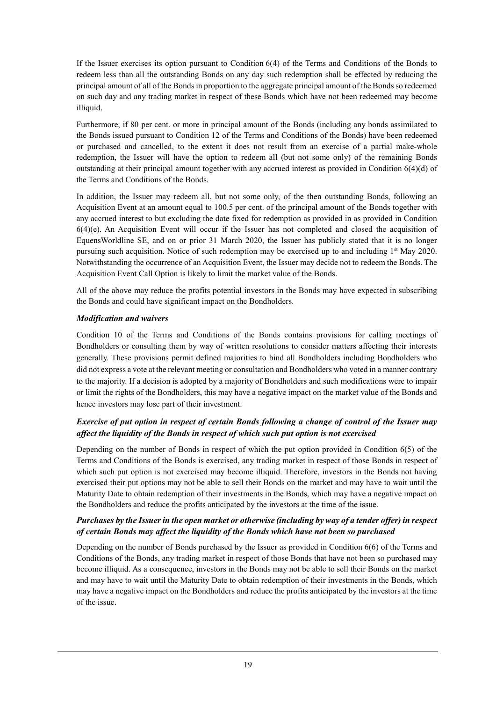If the Issuer exercises its option pursuant to Condition 6(4) of the Terms and Conditions of the Bonds to redeem less than all the outstanding Bonds on any day such redemption shall be effected by reducing the principal amount of all of the Bonds in proportion to the aggregate principal amount of the Bonds so redeemed on such day and any trading market in respect of these Bonds which have not been redeemed may become illiquid.

Furthermore, if 80 per cent. or more in principal amount of the Bonds (including any bonds assimilated to the Bonds issued pursuant to Condition 12 of the Terms and Conditions of the Bonds) have been redeemed or purchased and cancelled, to the extent it does not result from an exercise of a partial make-whole redemption, the Issuer will have the option to redeem all (but not some only) of the remaining Bonds outstanding at their principal amount together with any accrued interest as provided in Condition 6(4)(d) of the Terms and Conditions of the Bonds.

In addition, the Issuer may redeem all, but not some only, of the then outstanding Bonds, following an Acquisition Event at an amount equal to 100.5 per cent. of the principal amount of the Bonds together with any accrued interest to but excluding the date fixed for redemption as provided in as provided in Condition 6(4)(e). An Acquisition Event will occur if the Issuer has not completed and closed the acquisition of EquensWorldline SE, and on or prior 31 March 2020, the Issuer has publicly stated that it is no longer pursuing such acquisition. Notice of such redemption may be exercised up to and including 1<sup>st</sup> May 2020. Notwithstanding the occurrence of an Acquisition Event, the Issuer may decide not to redeem the Bonds. The Acquisition Event Call Option is likely to limit the market value of the Bonds.

All of the above may reduce the profits potential investors in the Bonds may have expected in subscribing the Bonds and could have significant impact on the Bondholders.

### *Modification and waivers*

Condition 10 of the Terms and Conditions of the Bonds contains provisions for calling meetings of Bondholders or consulting them by way of written resolutions to consider matters affecting their interests generally. These provisions permit defined majorities to bind all Bondholders including Bondholders who did not express a vote at the relevant meeting or consultation and Bondholders who voted in a manner contrary to the majority. If a decision is adopted by a majority of Bondholders and such modifications were to impair or limit the rights of the Bondholders, this may have a negative impact on the market value of the Bonds and hence investors may lose part of their investment.

## *Exercise of put option in respect of certain Bonds following a change of control of the Issuer may affect the liquidity of the Bonds in respect of which such put option is not exercised*

Depending on the number of Bonds in respect of which the put option provided in Condition 6(5) of the Terms and Conditions of the Bonds is exercised, any trading market in respect of those Bonds in respect of which such put option is not exercised may become illiquid. Therefore, investors in the Bonds not having exercised their put options may not be able to sell their Bonds on the market and may have to wait until the Maturity Date to obtain redemption of their investments in the Bonds, which may have a negative impact on the Bondholders and reduce the profits anticipated by the investors at the time of the issue.

### *Purchases by the Issuer in the open market or otherwise (including by way of a tender offer) in respect of certain Bonds may affect the liquidity of the Bonds which have not been so purchased*

Depending on the number of Bonds purchased by the Issuer as provided in Condition 6(6) of the Terms and Conditions of the Bonds, any trading market in respect of those Bonds that have not been so purchased may become illiquid. As a consequence, investors in the Bonds may not be able to sell their Bonds on the market and may have to wait until the Maturity Date to obtain redemption of their investments in the Bonds, which may have a negative impact on the Bondholders and reduce the profits anticipated by the investors at the time of the issue.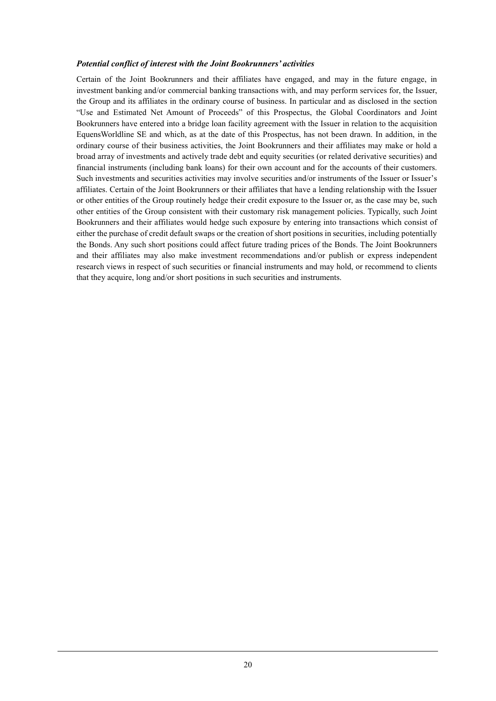#### *Potential conflict of interest with the Joint Bookrunners' activities*

Certain of the Joint Bookrunners and their affiliates have engaged, and may in the future engage, in investment banking and/or commercial banking transactions with, and may perform services for, the Issuer, the Group and its affiliates in the ordinary course of business. In particular and as disclosed in the section "Use and Estimated Net Amount of Proceeds" of this Prospectus, the Global Coordinators and Joint Bookrunners have entered into a bridge loan facility agreement with the Issuer in relation to the acquisition EquensWorldline SE and which, as at the date of this Prospectus, has not been drawn. In addition, in the ordinary course of their business activities, the Joint Bookrunners and their affiliates may make or hold a broad array of investments and actively trade debt and equity securities (or related derivative securities) and financial instruments (including bank loans) for their own account and for the accounts of their customers. Such investments and securities activities may involve securities and/or instruments of the Issuer or Issuer's affiliates. Certain of the Joint Bookrunners or their affiliates that have a lending relationship with the Issuer or other entities of the Group routinely hedge their credit exposure to the Issuer or, as the case may be, such other entities of the Group consistent with their customary risk management policies. Typically, such Joint Bookrunners and their affiliates would hedge such exposure by entering into transactions which consist of either the purchase of credit default swaps or the creation of short positions in securities, including potentially the Bonds. Any such short positions could affect future trading prices of the Bonds. The Joint Bookrunners and their affiliates may also make investment recommendations and/or publish or express independent research views in respect of such securities or financial instruments and may hold, or recommend to clients that they acquire, long and/or short positions in such securities and instruments.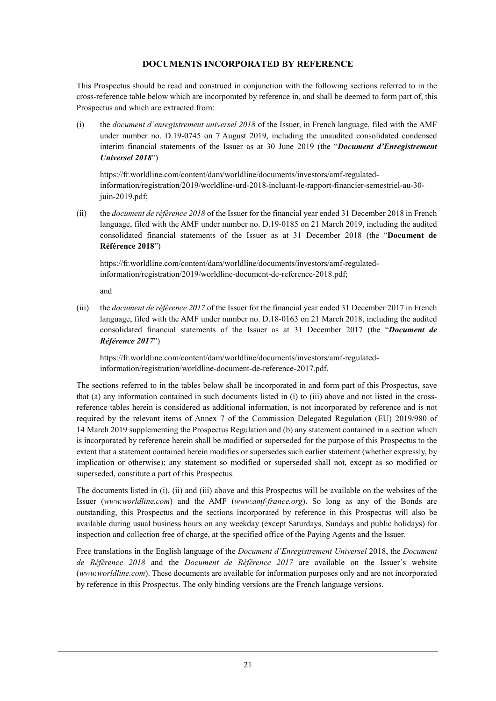### **DOCUMENTS INCORPORATED BY REFERENCE**

This Prospectus should be read and construed in conjunction with the following sections referred to in the cross-reference table below which are incorporated by reference in, and shall be deemed to form part of, this Prospectus and which are extracted from:

(i) the *document d'enregistrement universel 2018* of the Issuer, in French language, filed with the AMF under number no. D.19-0745 on 7 August 2019, including the unaudited consolidated condensed interim financial statements of the Issuer as at 30 June 2019 (the "*Document d'Enregistrement Universel 2018*")

https://fr.worldline.com/content/dam/worldline/documents/investors/amf-regulatedinformation/registration/2019/worldline-urd-2018-incluant-le-rapport-financier-semestriel-au-30 juin-2019.pdf;

(ii) the *document de référence 2018* of the Issuer for the financial year ended 31 December 2018 in French language, filed with the AMF under number no. D.19-0185 on 21 March 2019, including the audited consolidated financial statements of the Issuer as at 31 December 2018 (the "**Document de Référence 2018**")

https://fr.worldline.com/content/dam/worldline/documents/investors/amf-regulatedinformation/registration/2019/worldline-document-de-reference-2018.pdf;

and

(iii) the *document de référence 2017* of the Issuer for the financial year ended 31 December 2017 in French language, filed with the AMF under number no. D.18-0163 on 21 March 2018, including the audited consolidated financial statements of the Issuer as at 31 December 2017 (the "*Document de Référence 2017*")

https://fr.worldline.com/content/dam/worldline/documents/investors/amf-regulatedinformation/registration/worldline-document-de-reference-2017.pdf.

The sections referred to in the tables below shall be incorporated in and form part of this Prospectus, save that (a) any information contained in such documents listed in (i) to (iii) above and not listed in the crossreference tables herein is considered as additional information, is not incorporated by reference and is not required by the relevant items of Annex 7 of the Commission Delegated Regulation (EU) 2019/980 of 14 March 2019 supplementing the Prospectus Regulation and (b) any statement contained in a section which is incorporated by reference herein shall be modified or superseded for the purpose of this Prospectus to the extent that a statement contained herein modifies or supersedes such earlier statement (whether expressly, by implication or otherwise); any statement so modified or superseded shall not, except as so modified or superseded, constitute a part of this Prospectus.

The documents listed in (i), (ii) and (iii) above and this Prospectus will be available on the websites of the Issuer (*www.worldline.com*) and the AMF (*www.amf-france.org*). So long as any of the Bonds are outstanding, this Prospectus and the sections incorporated by reference in this Prospectus will also be available during usual business hours on any weekday (except Saturdays, Sundays and public holidays) for inspection and collection free of charge, at the specified office of the Paying Agents and the Issuer.

Free translations in the English language of the *Document d'Enregistrement Universel* 2018, the *Document de Référence 2018* and the *Document de Référence 2017* are available on the Issuer's website (*www.worldline.com*). These documents are available for information purposes only and are not incorporated by reference in this Prospectus. The only binding versions are the French language versions.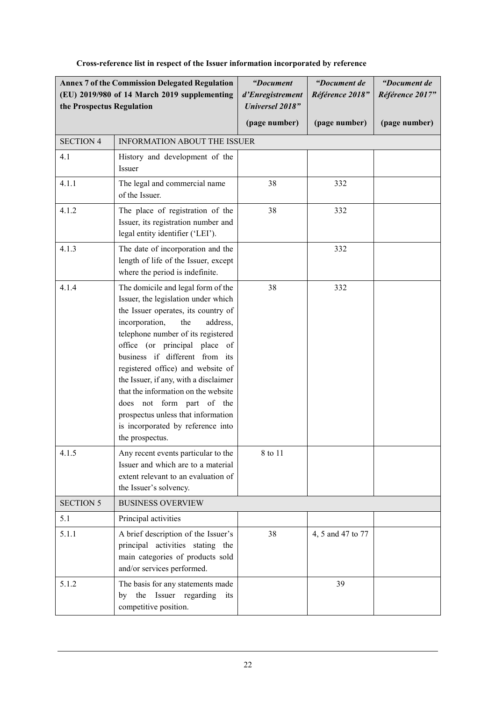| the Prospectus Regulation | <b>Annex 7 of the Commission Delegated Regulation</b><br>(EU) 2019/980 of 14 March 2019 supplementing                                                                                                                                                                                                                                                                                                                                                                                                                                                 | "Document<br>d'Enregistrement<br><b>Universel 2018"</b> | "Document de<br>Référence 2018" | "Document de<br>Référence 2017" |
|---------------------------|-------------------------------------------------------------------------------------------------------------------------------------------------------------------------------------------------------------------------------------------------------------------------------------------------------------------------------------------------------------------------------------------------------------------------------------------------------------------------------------------------------------------------------------------------------|---------------------------------------------------------|---------------------------------|---------------------------------|
|                           |                                                                                                                                                                                                                                                                                                                                                                                                                                                                                                                                                       | (page number)                                           | (page number)                   | (page number)                   |
| <b>SECTION 4</b>          | <b>INFORMATION ABOUT THE ISSUER</b>                                                                                                                                                                                                                                                                                                                                                                                                                                                                                                                   |                                                         |                                 |                                 |
| 4.1                       | History and development of the<br>Issuer                                                                                                                                                                                                                                                                                                                                                                                                                                                                                                              |                                                         |                                 |                                 |
| 4.1.1                     | The legal and commercial name<br>of the Issuer.                                                                                                                                                                                                                                                                                                                                                                                                                                                                                                       | 38                                                      | 332                             |                                 |
| 4.1.2                     | The place of registration of the<br>Issuer, its registration number and<br>legal entity identifier ('LEI').                                                                                                                                                                                                                                                                                                                                                                                                                                           | 38                                                      | 332                             |                                 |
| 4.1.3                     | The date of incorporation and the<br>length of life of the Issuer, except<br>where the period is indefinite.                                                                                                                                                                                                                                                                                                                                                                                                                                          |                                                         | 332                             |                                 |
| 4.1.4<br>4.1.5            | The domicile and legal form of the<br>Issuer, the legislation under which<br>the Issuer operates, its country of<br>incorporation,<br>the<br>address,<br>telephone number of its registered<br>office (or principal place of<br>business if different from its<br>registered office) and website of<br>the Issuer, if any, with a disclaimer<br>that the information on the website<br>does not form part of the<br>prospectus unless that information<br>is incorporated by reference into<br>the prospectus.<br>Any recent events particular to the | 38<br>8 to 11                                           | 332                             |                                 |
|                           | Issuer and which are to a material<br>extent relevant to an evaluation of<br>the Issuer's solvency.                                                                                                                                                                                                                                                                                                                                                                                                                                                   |                                                         |                                 |                                 |
| <b>SECTION 5</b>          | <b>BUSINESS OVERVIEW</b>                                                                                                                                                                                                                                                                                                                                                                                                                                                                                                                              |                                                         |                                 |                                 |
| 5.1                       | Principal activities                                                                                                                                                                                                                                                                                                                                                                                                                                                                                                                                  |                                                         |                                 |                                 |
| 5.1.1                     | A brief description of the Issuer's<br>principal activities stating the<br>main categories of products sold<br>and/or services performed.                                                                                                                                                                                                                                                                                                                                                                                                             | 38                                                      | 4, 5 and 47 to 77               |                                 |
| 5.1.2                     | The basis for any statements made<br>the Issuer regarding<br>its<br>by<br>competitive position.                                                                                                                                                                                                                                                                                                                                                                                                                                                       |                                                         | 39                              |                                 |

# **Cross-reference list in respect of the Issuer information incorporated by reference**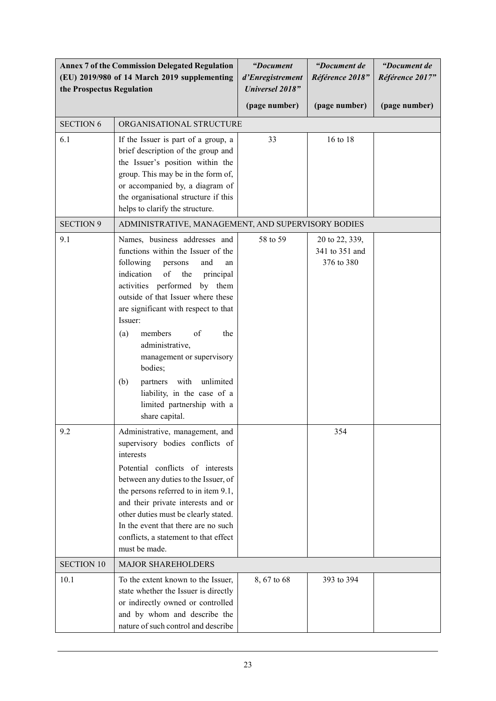| <b>Annex 7 of the Commission Delegated Regulation</b><br>(EU) 2019/980 of 14 March 2019 supplementing<br>the Prospectus Regulation |                                                                                                                                                                                                                                                                                                                                                                                                                                                                                         | "Document<br>d'Enregistrement<br><b>Universel 2018"</b> | "Document de<br>Référence 2018"                | "Document de<br>Référence 2017" |
|------------------------------------------------------------------------------------------------------------------------------------|-----------------------------------------------------------------------------------------------------------------------------------------------------------------------------------------------------------------------------------------------------------------------------------------------------------------------------------------------------------------------------------------------------------------------------------------------------------------------------------------|---------------------------------------------------------|------------------------------------------------|---------------------------------|
|                                                                                                                                    |                                                                                                                                                                                                                                                                                                                                                                                                                                                                                         | (page number)                                           | (page number)                                  | (page number)                   |
| <b>SECTION 6</b>                                                                                                                   | ORGANISATIONAL STRUCTURE                                                                                                                                                                                                                                                                                                                                                                                                                                                                |                                                         |                                                |                                 |
| 6.1                                                                                                                                | If the Issuer is part of a group, a<br>brief description of the group and<br>the Issuer's position within the<br>group. This may be in the form of,<br>or accompanied by, a diagram of<br>the organisational structure if this<br>helps to clarify the structure.                                                                                                                                                                                                                       | 33                                                      | 16 to 18                                       |                                 |
| <b>SECTION 9</b>                                                                                                                   | ADMINISTRATIVE, MANAGEMENT, AND SUPERVISORY BODIES                                                                                                                                                                                                                                                                                                                                                                                                                                      |                                                         |                                                |                                 |
| 9.1                                                                                                                                | Names, business addresses and<br>functions within the Issuer of the<br>following<br>and<br>persons<br>an<br>indication<br>of<br>the<br>principal<br>activities performed by them<br>outside of that Issuer where these<br>are significant with respect to that<br>Issuer:<br>members<br>of<br>the<br>(a)<br>administrative,<br>management or supervisory<br>bodies;<br>partners with<br>unlimited<br>(b)<br>liability, in the case of a<br>limited partnership with a<br>share capital. | 58 to 59                                                | 20 to 22, 339,<br>341 to 351 and<br>376 to 380 |                                 |
| 9.2                                                                                                                                | Administrative, management, and<br>supervisory bodies conflicts of<br>interests<br>Potential conflicts of interests<br>between any duties to the Issuer, of<br>the persons referred to in item 9.1,<br>and their private interests and or<br>other duties must be clearly stated.<br>In the event that there are no such<br>conflicts, a statement to that effect<br>must be made.                                                                                                      |                                                         | 354                                            |                                 |
| <b>SECTION 10</b>                                                                                                                  | <b>MAJOR SHAREHOLDERS</b>                                                                                                                                                                                                                                                                                                                                                                                                                                                               |                                                         |                                                |                                 |
| 10.1                                                                                                                               | To the extent known to the Issuer,<br>state whether the Issuer is directly<br>or indirectly owned or controlled<br>and by whom and describe the<br>nature of such control and describe                                                                                                                                                                                                                                                                                                  | 8, 67 to 68                                             | 393 to 394                                     |                                 |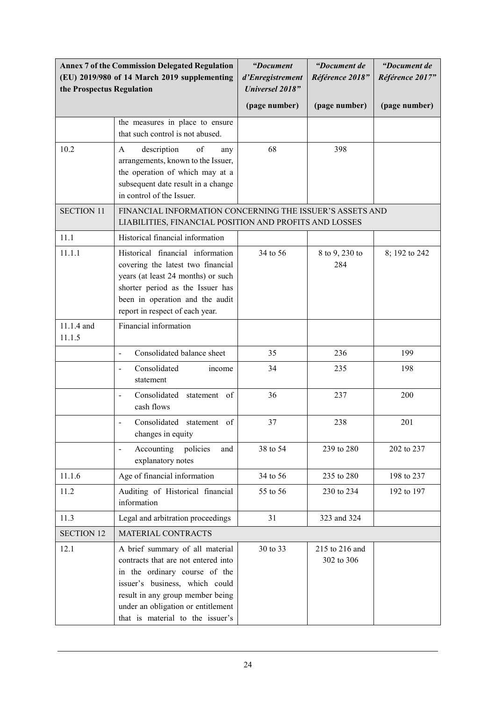| the Prospectus Regulation | <b>Annex 7 of the Commission Delegated Regulation</b><br>(EU) 2019/980 of 14 March 2019 supplementing                                                                                                                                                   | "Document<br>d'Enregistrement<br><b>Universel 2018"</b> | "Document de<br>Référence 2018" | "Document de<br>Référence 2017" |
|---------------------------|---------------------------------------------------------------------------------------------------------------------------------------------------------------------------------------------------------------------------------------------------------|---------------------------------------------------------|---------------------------------|---------------------------------|
|                           |                                                                                                                                                                                                                                                         | (page number)                                           | (page number)                   | (page number)                   |
|                           | the measures in place to ensure<br>that such control is not abused.                                                                                                                                                                                     |                                                         |                                 |                                 |
| 10.2                      | of<br>$\mathbf{A}$<br>description<br>any<br>arrangements, known to the Issuer,<br>the operation of which may at a<br>subsequent date result in a change<br>in control of the Issuer.                                                                    | 68                                                      | 398                             |                                 |
| <b>SECTION 11</b>         | FINANCIAL INFORMATION CONCERNING THE ISSUER'S ASSETS AND<br>LIABILITIES, FINANCIAL POSITION AND PROFITS AND LOSSES                                                                                                                                      |                                                         |                                 |                                 |
| 11.1                      | Historical financial information                                                                                                                                                                                                                        |                                                         |                                 |                                 |
| 11.1.1                    | Historical financial information<br>covering the latest two financial<br>years (at least 24 months) or such<br>shorter period as the Issuer has<br>been in operation and the audit<br>report in respect of each year.                                   | 34 to 56                                                | 8 to 9, 230 to<br>284           | 8; 192 to 242                   |
| 11.1.4 and<br>11.1.5      | Financial information                                                                                                                                                                                                                                   |                                                         |                                 |                                 |
|                           | Consolidated balance sheet<br>$\blacksquare$                                                                                                                                                                                                            | 35                                                      | 236                             | 199                             |
|                           | Consolidated<br>income<br>$\overline{\phantom{a}}$<br>statement                                                                                                                                                                                         | 34                                                      | 235                             | 198                             |
|                           | Consolidated<br>statement of<br>$\blacksquare$<br>cash flows                                                                                                                                                                                            | 36                                                      | 237                             | 200                             |
|                           | Consolidated<br>statement of<br>changes in equity                                                                                                                                                                                                       | 37                                                      | 238                             | 201                             |
|                           | policies<br>Accounting<br>and<br>$\overline{\phantom{a}}$<br>explanatory notes                                                                                                                                                                          | 38 to 54                                                | 239 to 280                      | 202 to 237                      |
| 11.1.6                    | Age of financial information                                                                                                                                                                                                                            | 34 to 56                                                | 235 to 280                      | 198 to 237                      |
| 11.2                      | Auditing of Historical financial<br>information                                                                                                                                                                                                         | 55 to 56                                                | 230 to 234                      | 192 to 197                      |
| 11.3                      | Legal and arbitration proceedings                                                                                                                                                                                                                       | 31                                                      | 323 and 324                     |                                 |
| <b>SECTION 12</b>         | MATERIAL CONTRACTS                                                                                                                                                                                                                                      |                                                         |                                 |                                 |
| 12.1                      | A brief summary of all material<br>contracts that are not entered into<br>in the ordinary course of the<br>issuer's business, which could<br>result in any group member being<br>under an obligation or entitlement<br>that is material to the issuer's | 30 to 33                                                | 215 to 216 and<br>302 to 306    |                                 |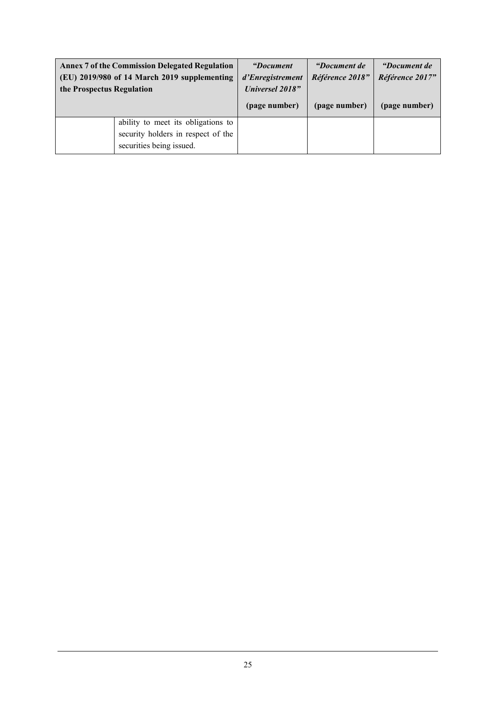| the Prospectus Regulation | <b>Annex 7 of the Commission Delegated Regulation</b><br>(EU) 2019/980 of 14 March 2019 supplementing | <i>"Document</i> "<br>d'Enregistrement<br><b>Universel 2018"</b><br>(page number) | <i>"Document de</i><br>Référence 2018"<br>(page number) | <i>"Document de</i><br>Référence 2017"<br>(page number) |
|---------------------------|-------------------------------------------------------------------------------------------------------|-----------------------------------------------------------------------------------|---------------------------------------------------------|---------------------------------------------------------|
|                           | ability to meet its obligations to<br>security holders in respect of the<br>securities being issued.  |                                                                                   |                                                         |                                                         |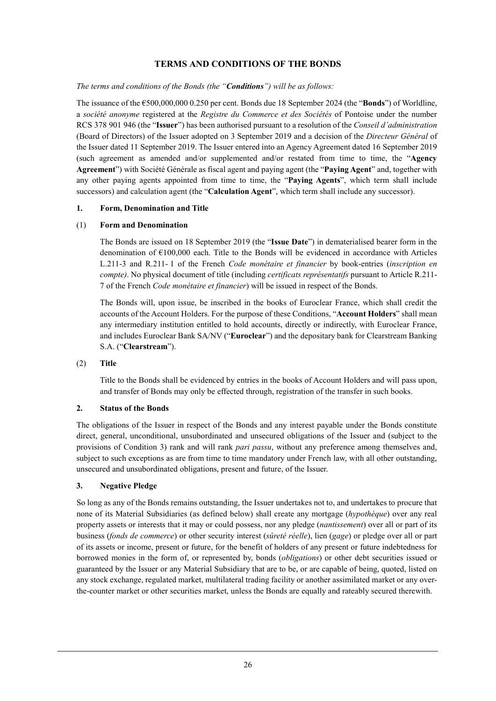### **TERMS AND CONDITIONS OF THE BONDS**

#### *The terms and conditions of the Bonds (the "Conditions") will be as follows:*

The issuance of the €500,000,000 0.250 per cent. Bonds due 18 September 2024 (the "**Bonds**") of Worldline, a *société anonyme* registered at the *Registre du Commerce et des Sociétés* of Pontoise under the number RCS 378 901 946 (the "**Issuer**") has been authorised pursuant to a resolution of the *Conseil d'administration* (Board of Directors) of the Issuer adopted on 3 September 2019 and a decision of the *Directeur Général* of the Issuer dated 11 September 2019. The Issuer entered into an Agency Agreement dated 16 September 2019 (such agreement as amended and/or supplemented and/or restated from time to time, the "**Agency Agreement**") with Société Générale as fiscal agent and paying agent (the "**Paying Agent**" and, together with any other paying agents appointed from time to time, the "**Paying Agents**", which term shall include successors) and calculation agent (the "**Calculation Agent**", which term shall include any successor).

#### **1. Form, Denomination and Title**

#### (1) **Form and Denomination**

The Bonds are issued on 18 September 2019 (the "**Issue Date**") in dematerialised bearer form in the denomination of  $E100,000$  each. Title to the Bonds will be evidenced in accordance with Articles L.211-3 and R.211- 1 of the French *Code monétaire et financier* by book-entries (*inscription en compte)*. No physical document of title (including *certificats représentatifs* pursuant to Article R.211- 7 of the French *Code monétaire et financier*) will be issued in respect of the Bonds.

The Bonds will, upon issue, be inscribed in the books of Euroclear France, which shall credit the accounts of the Account Holders. For the purpose of these Conditions, "**Account Holders**" shall mean any intermediary institution entitled to hold accounts, directly or indirectly, with Euroclear France, and includes Euroclear Bank SA/NV ("**Euroclear**") and the depositary bank for Clearstream Banking S.A. ("**Clearstream**").

#### (2) **Title**

Title to the Bonds shall be evidenced by entries in the books of Account Holders and will pass upon, and transfer of Bonds may only be effected through, registration of the transfer in such books.

#### **2. Status of the Bonds**

The obligations of the Issuer in respect of the Bonds and any interest payable under the Bonds constitute direct, general, unconditional, unsubordinated and unsecured obligations of the Issuer and (subject to the provisions of Condition 3) rank and will rank *pari passu*, without any preference among themselves and, subject to such exceptions as are from time to time mandatory under French law, with all other outstanding, unsecured and unsubordinated obligations, present and future, of the Issuer.

#### **3. Negative Pledge**

So long as any of the Bonds remains outstanding, the Issuer undertakes not to, and undertakes to procure that none of its Material Subsidiaries (as defined below) shall create any mortgage (*hypothèque*) over any real property assets or interests that it may or could possess, nor any pledge (*nantissement*) over all or part of its business (*fonds de commerce*) or other security interest (*sûreté réelle*), lien (*gage*) or pledge over all or part of its assets or income, present or future, for the benefit of holders of any present or future indebtedness for borrowed monies in the form of, or represented by, bonds (*obligations*) or other debt securities issued or guaranteed by the Issuer or any Material Subsidiary that are to be, or are capable of being, quoted, listed on any stock exchange, regulated market, multilateral trading facility or another assimilated market or any overthe-counter market or other securities market, unless the Bonds are equally and rateably secured therewith.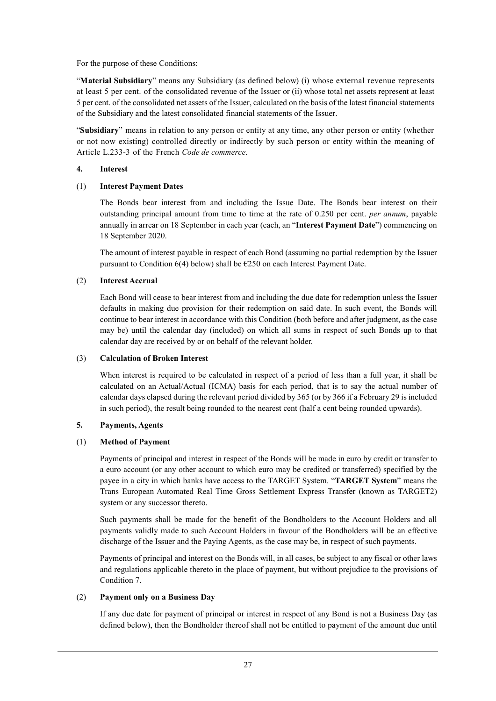For the purpose of these Conditions:

"**Material Subsidiary**" means any Subsidiary (as defined below) (i) whose external revenue represents at least 5 per cent. of the consolidated revenue of the Issuer or (ii) whose total net assets represent at least 5 per cent. of the consolidated net assets of the Issuer, calculated on the basis of the latest financial statements of the Subsidiary and the latest consolidated financial statements of the Issuer.

"**Subsidiary**" means in relation to any person or entity at any time, any other person or entity (whether or not now existing) controlled directly or indirectly by such person or entity within the meaning of Article L.233-3 of the French *Code de commerce*.

#### **4. Interest**

### (1) **Interest Payment Dates**

The Bonds bear interest from and including the Issue Date. The Bonds bear interest on their outstanding principal amount from time to time at the rate of 0.250 per cent. *per annum*, payable annually in arrear on 18 September in each year (each, an "**Interest Payment Date**") commencing on 18 September 2020.

The amount of interest payable in respect of each Bond (assuming no partial redemption by the Issuer pursuant to Condition  $6(4)$  below) shall be  $6250$  on each Interest Payment Date.

### (2) **Interest Accrual**

Each Bond will cease to bear interest from and including the due date for redemption unless the Issuer defaults in making due provision for their redemption on said date. In such event, the Bonds will continue to bear interest in accordance with this Condition (both before and after judgment, as the case may be) until the calendar day (included) on which all sums in respect of such Bonds up to that calendar day are received by or on behalf of the relevant holder.

#### (3) **Calculation of Broken Interest**

When interest is required to be calculated in respect of a period of less than a full year, it shall be calculated on an Actual/Actual (ICMA) basis for each period, that is to say the actual number of calendar days elapsed during the relevant period divided by 365 (or by 366 if a February 29 is included in such period), the result being rounded to the nearest cent (half a cent being rounded upwards).

#### **5. Payments, Agents**

### (1) **Method of Payment**

Payments of principal and interest in respect of the Bonds will be made in euro by credit or transfer to a euro account (or any other account to which euro may be credited or transferred) specified by the payee in a city in which banks have access to the TARGET System. "**TARGET System**" means the Trans European Automated Real Time Gross Settlement Express Transfer (known as TARGET2) system or any successor thereto.

Such payments shall be made for the benefit of the Bondholders to the Account Holders and all payments validly made to such Account Holders in favour of the Bondholders will be an effective discharge of the Issuer and the Paying Agents, as the case may be, in respect of such payments.

Payments of principal and interest on the Bonds will, in all cases, be subject to any fiscal or other laws and regulations applicable thereto in the place of payment, but without prejudice to the provisions of Condition 7.

#### (2) **Payment only on a Business Day**

If any due date for payment of principal or interest in respect of any Bond is not a Business Day (as defined below), then the Bondholder thereof shall not be entitled to payment of the amount due until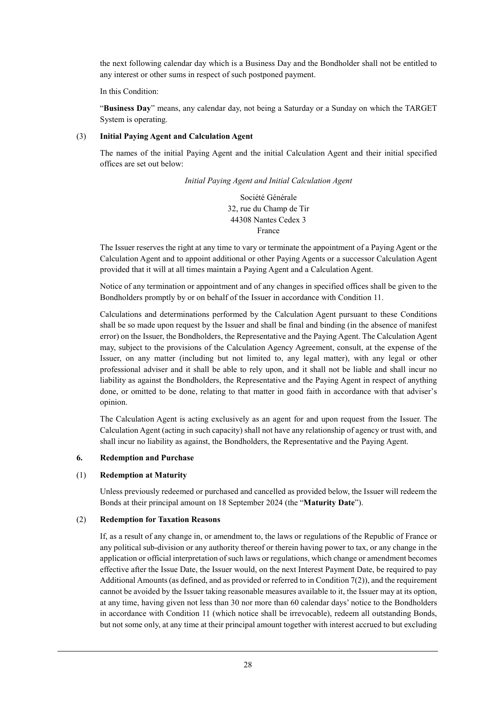the next following calendar day which is a Business Day and the Bondholder shall not be entitled to any interest or other sums in respect of such postponed payment.

In this Condition:

"**Business Day**" means, any calendar day, not being a Saturday or a Sunday on which the TARGET System is operating.

#### (3) **Initial Paying Agent and Calculation Agent**

The names of the initial Paying Agent and the initial Calculation Agent and their initial specified offices are set out below:

*Initial Paying Agent and Initial Calculation Agent* 

Société Générale 32, rue du Champ de Tir 44308 Nantes Cedex 3 France

The Issuer reserves the right at any time to vary or terminate the appointment of a Paying Agent or the Calculation Agent and to appoint additional or other Paying Agents or a successor Calculation Agent provided that it will at all times maintain a Paying Agent and a Calculation Agent.

Notice of any termination or appointment and of any changes in specified offices shall be given to the Bondholders promptly by or on behalf of the Issuer in accordance with Condition 11.

Calculations and determinations performed by the Calculation Agent pursuant to these Conditions shall be so made upon request by the Issuer and shall be final and binding (in the absence of manifest error) on the Issuer, the Bondholders, the Representative and the Paying Agent. The Calculation Agent may, subject to the provisions of the Calculation Agency Agreement, consult, at the expense of the Issuer, on any matter (including but not limited to, any legal matter), with any legal or other professional adviser and it shall be able to rely upon, and it shall not be liable and shall incur no liability as against the Bondholders, the Representative and the Paying Agent in respect of anything done, or omitted to be done, relating to that matter in good faith in accordance with that adviser's opinion.

The Calculation Agent is acting exclusively as an agent for and upon request from the Issuer. The Calculation Agent (acting in such capacity) shall not have any relationship of agency or trust with, and shall incur no liability as against, the Bondholders, the Representative and the Paying Agent.

#### **6. Redemption and Purchase**

#### (1) **Redemption at Maturity**

Unless previously redeemed or purchased and cancelled as provided below, the Issuer will redeem the Bonds at their principal amount on 18 September 2024 (the "**Maturity Date**").

#### (2) **Redemption for Taxation Reasons**

If, as a result of any change in, or amendment to, the laws or regulations of the Republic of France or any political sub-division or any authority thereof or therein having power to tax, or any change in the application or official interpretation of such laws or regulations, which change or amendment becomes effective after the Issue Date, the Issuer would, on the next Interest Payment Date, be required to pay Additional Amounts (as defined, and as provided or referred to in Condition 7(2)), and the requirement cannot be avoided by the Issuer taking reasonable measures available to it, the Issuer may at its option, at any time, having given not less than 30 nor more than 60 calendar days' notice to the Bondholders in accordance with Condition 11 (which notice shall be irrevocable), redeem all outstanding Bonds, but not some only, at any time at their principal amount together with interest accrued to but excluding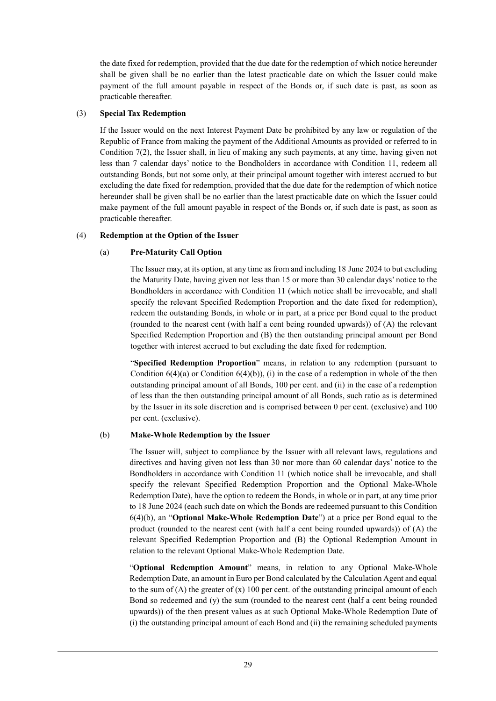the date fixed for redemption, provided that the due date for the redemption of which notice hereunder shall be given shall be no earlier than the latest practicable date on which the Issuer could make payment of the full amount payable in respect of the Bonds or, if such date is past, as soon as practicable thereafter.

#### (3) **Special Tax Redemption**

If the Issuer would on the next Interest Payment Date be prohibited by any law or regulation of the Republic of France from making the payment of the Additional Amounts as provided or referred to in Condition 7(2), the Issuer shall, in lieu of making any such payments, at any time, having given not less than 7 calendar days' notice to the Bondholders in accordance with Condition 11, redeem all outstanding Bonds, but not some only, at their principal amount together with interest accrued to but excluding the date fixed for redemption, provided that the due date for the redemption of which notice hereunder shall be given shall be no earlier than the latest practicable date on which the Issuer could make payment of the full amount payable in respect of the Bonds or, if such date is past, as soon as practicable thereafter.

#### (4) **Redemption at the Option of the Issuer**

#### (a) **Pre-Maturity Call Option**

The Issuer may, at its option, at any time as from and including 18 June 2024 to but excluding the Maturity Date, having given not less than 15 or more than 30 calendar days' notice to the Bondholders in accordance with Condition 11 (which notice shall be irrevocable, and shall specify the relevant Specified Redemption Proportion and the date fixed for redemption), redeem the outstanding Bonds, in whole or in part, at a price per Bond equal to the product (rounded to the nearest cent (with half a cent being rounded upwards)) of (A) the relevant Specified Redemption Proportion and (B) the then outstanding principal amount per Bond together with interest accrued to but excluding the date fixed for redemption.

"**Specified Redemption Proportion**" means, in relation to any redemption (pursuant to Condition  $6(4)(a)$  or Condition  $6(4)(b)$ ), (i) in the case of a redemption in whole of the then outstanding principal amount of all Bonds, 100 per cent. and (ii) in the case of a redemption of less than the then outstanding principal amount of all Bonds, such ratio as is determined by the Issuer in its sole discretion and is comprised between 0 per cent. (exclusive) and 100 per cent. (exclusive).

#### (b) **Make-Whole Redemption by the Issuer**

The Issuer will, subject to compliance by the Issuer with all relevant laws, regulations and directives and having given not less than 30 nor more than 60 calendar days' notice to the Bondholders in accordance with Condition 11 (which notice shall be irrevocable, and shall specify the relevant Specified Redemption Proportion and the Optional Make-Whole Redemption Date), have the option to redeem the Bonds, in whole or in part, at any time prior to 18 June 2024 (each such date on which the Bonds are redeemed pursuant to this Condition 6(4)(b), an "**Optional Make-Whole Redemption Date**") at a price per Bond equal to the product (rounded to the nearest cent (with half a cent being rounded upwards)) of (A) the relevant Specified Redemption Proportion and (B) the Optional Redemption Amount in relation to the relevant Optional Make-Whole Redemption Date.

"**Optional Redemption Amount**" means, in relation to any Optional Make-Whole Redemption Date, an amount in Euro per Bond calculated by the Calculation Agent and equal to the sum of  $(A)$  the greater of  $(x)$  100 per cent. of the outstanding principal amount of each Bond so redeemed and (y) the sum (rounded to the nearest cent (half a cent being rounded upwards)) of the then present values as at such Optional Make-Whole Redemption Date of (i) the outstanding principal amount of each Bond and (ii) the remaining scheduled payments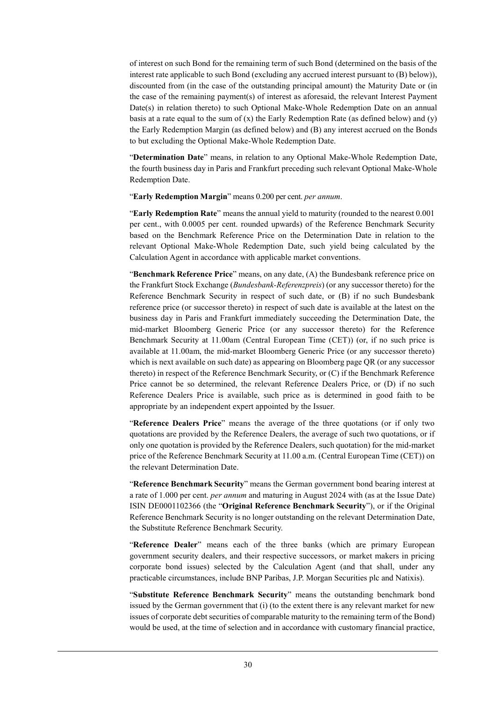of interest on such Bond for the remaining term of such Bond (determined on the basis of the interest rate applicable to such Bond (excluding any accrued interest pursuant to (B) below)), discounted from (in the case of the outstanding principal amount) the Maturity Date or (in the case of the remaining payment(s) of interest as aforesaid, the relevant Interest Payment  $Date(s)$  in relation thereto) to such Optional Make-Whole Redemption Date on an annual basis at a rate equal to the sum of  $(x)$  the Early Redemption Rate (as defined below) and  $(y)$ the Early Redemption Margin (as defined below) and (B) any interest accrued on the Bonds to but excluding the Optional Make-Whole Redemption Date.

"**Determination Date**" means, in relation to any Optional Make-Whole Redemption Date, the fourth business day in Paris and Frankfurt preceding such relevant Optional Make-Whole Redemption Date.

"**Early Redemption Margin**" means 0.200 per cent. *per annum*.

"**Early Redemption Rate**" means the annual yield to maturity (rounded to the nearest 0.001 per cent., with 0.0005 per cent. rounded upwards) of the Reference Benchmark Security based on the Benchmark Reference Price on the Determination Date in relation to the relevant Optional Make-Whole Redemption Date, such yield being calculated by the Calculation Agent in accordance with applicable market conventions.

"**Benchmark Reference Price**" means, on any date, (A) the Bundesbank reference price on the Frankfurt Stock Exchange (*Bundesbank-Referenzpreis*) (or any successor thereto) for the Reference Benchmark Security in respect of such date, or (B) if no such Bundesbank reference price (or successor thereto) in respect of such date is available at the latest on the business day in Paris and Frankfurt immediately succeeding the Determination Date, the mid-market Bloomberg Generic Price (or any successor thereto) for the Reference Benchmark Security at 11.00am (Central European Time (CET)) (or, if no such price is available at 11.00am, the mid-market Bloomberg Generic Price (or any successor thereto) which is next available on such date) as appearing on Bloomberg page QR (or any successor thereto) in respect of the Reference Benchmark Security, or (C) if the Benchmark Reference Price cannot be so determined, the relevant Reference Dealers Price, or (D) if no such Reference Dealers Price is available, such price as is determined in good faith to be appropriate by an independent expert appointed by the Issuer.

"**Reference Dealers Price**" means the average of the three quotations (or if only two quotations are provided by the Reference Dealers, the average of such two quotations, or if only one quotation is provided by the Reference Dealers, such quotation) for the mid-market price of the Reference Benchmark Security at 11.00 a.m. (Central European Time (CET)) on the relevant Determination Date.

"**Reference Benchmark Security**" means the German government bond bearing interest at a rate of 1.000 per cent. *per annum* and maturing in August 2024 with (as at the Issue Date) ISIN DE0001102366 (the "**Original Reference Benchmark Security**"), or if the Original Reference Benchmark Security is no longer outstanding on the relevant Determination Date, the Substitute Reference Benchmark Security.

"**Reference Dealer**" means each of the three banks (which are primary European government security dealers, and their respective successors, or market makers in pricing corporate bond issues) selected by the Calculation Agent (and that shall, under any practicable circumstances, include BNP Paribas, J.P. Morgan Securities plc and Natixis).

"**Substitute Reference Benchmark Security**" means the outstanding benchmark bond issued by the German government that (i) (to the extent there is any relevant market for new issues of corporate debt securities of comparable maturity to the remaining term of the Bond) would be used, at the time of selection and in accordance with customary financial practice,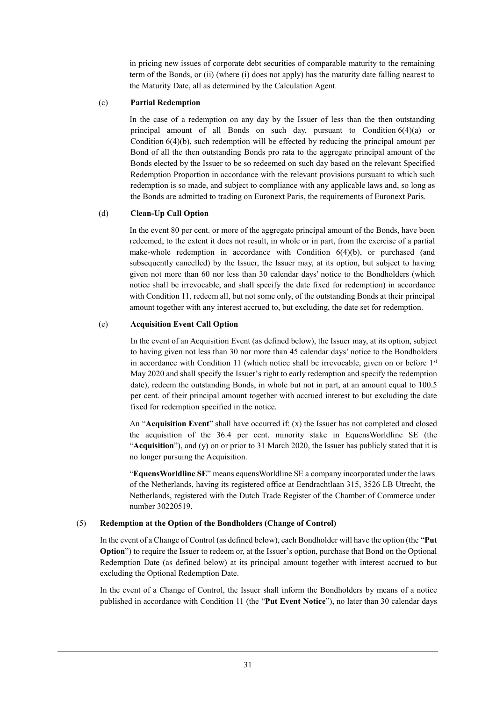in pricing new issues of corporate debt securities of comparable maturity to the remaining term of the Bonds, or (ii) (where (i) does not apply) has the maturity date falling nearest to the Maturity Date, all as determined by the Calculation Agent.

#### (c) **Partial Redemption**

In the case of a redemption on any day by the Issuer of less than the then outstanding principal amount of all Bonds on such day, pursuant to Condition  $6(4)(a)$  or Condition 6(4)(b), such redemption will be effected by reducing the principal amount per Bond of all the then outstanding Bonds pro rata to the aggregate principal amount of the Bonds elected by the Issuer to be so redeemed on such day based on the relevant Specified Redemption Proportion in accordance with the relevant provisions pursuant to which such redemption is so made, and subject to compliance with any applicable laws and, so long as the Bonds are admitted to trading on Euronext Paris, the requirements of Euronext Paris.

#### (d) **Clean-Up Call Option**

In the event 80 per cent. or more of the aggregate principal amount of the Bonds, have been redeemed, to the extent it does not result, in whole or in part, from the exercise of a partial make-whole redemption in accordance with Condition 6(4)(b), or purchased (and subsequently cancelled) by the Issuer, the Issuer may, at its option, but subject to having given not more than 60 nor less than 30 calendar days' notice to the Bondholders (which notice shall be irrevocable, and shall specify the date fixed for redemption) in accordance with Condition 11, redeem all, but not some only, of the outstanding Bonds at their principal amount together with any interest accrued to, but excluding, the date set for redemption.

#### (e) **Acquisition Event Call Option**

In the event of an Acquisition Event (as defined below), the Issuer may, at its option, subject to having given not less than 30 nor more than 45 calendar days' notice to the Bondholders in accordance with Condition 11 (which notice shall be irrevocable, given on or before  $1<sup>st</sup>$ May 2020 and shall specify the Issuer's right to early redemption and specify the redemption date), redeem the outstanding Bonds, in whole but not in part, at an amount equal to 100.5 per cent. of their principal amount together with accrued interest to but excluding the date fixed for redemption specified in the notice.

An "**Acquisition Event**" shall have occurred if: (x) the Issuer has not completed and closed the acquisition of the 36.4 per cent. minority stake in EquensWorldline SE (the "**Acquisition**"), and (y) on or prior to 31 March 2020, the Issuer has publicly stated that it is no longer pursuing the Acquisition.

"**EquensWorldline SE**" means equensWorldline SE a company incorporated under the laws of the Netherlands, having its registered office at Eendrachtlaan 315, 3526 LB Utrecht, the Netherlands, registered with the Dutch Trade Register of the Chamber of Commerce under number 30220519.

#### (5) **Redemption at the Option of the Bondholders (Change of Control)**

In the event of a Change of Control (as defined below), each Bondholder will have the option (the "**Put Option**") to require the Issuer to redeem or, at the Issuer's option, purchase that Bond on the Optional Redemption Date (as defined below) at its principal amount together with interest accrued to but excluding the Optional Redemption Date.

In the event of a Change of Control, the Issuer shall inform the Bondholders by means of a notice published in accordance with Condition 11 (the "**Put Event Notice**"), no later than 30 calendar days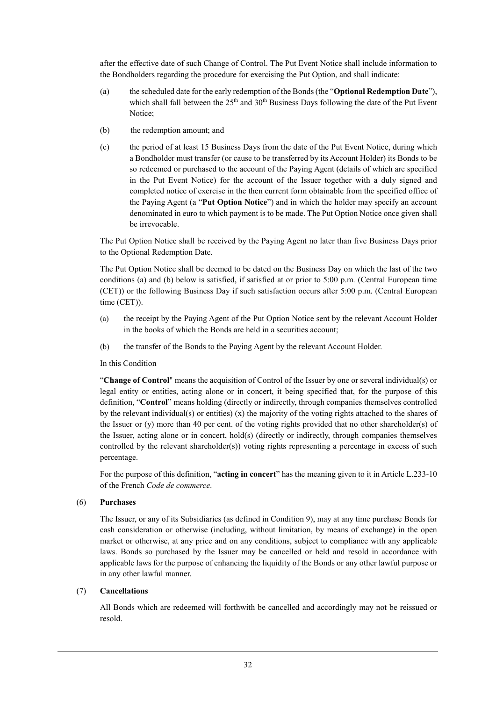after the effective date of such Change of Control. The Put Event Notice shall include information to the Bondholders regarding the procedure for exercising the Put Option, and shall indicate:

- (a) the scheduled date for the early redemption of the Bonds (the "**Optional Redemption Date**"), which shall fall between the  $25<sup>th</sup>$  and  $30<sup>th</sup>$  Business Days following the date of the Put Event Notice;
- (b) the redemption amount; and
- (c) the period of at least 15 Business Days from the date of the Put Event Notice, during which a Bondholder must transfer (or cause to be transferred by its Account Holder) its Bonds to be so redeemed or purchased to the account of the Paying Agent (details of which are specified in the Put Event Notice) for the account of the Issuer together with a duly signed and completed notice of exercise in the then current form obtainable from the specified office of the Paying Agent (a "**Put Option Notice**") and in which the holder may specify an account denominated in euro to which payment is to be made. The Put Option Notice once given shall be irrevocable.

The Put Option Notice shall be received by the Paying Agent no later than five Business Days prior to the Optional Redemption Date.

The Put Option Notice shall be deemed to be dated on the Business Day on which the last of the two conditions (a) and (b) below is satisfied, if satisfied at or prior to 5:00 p.m. (Central European time (CET)) or the following Business Day if such satisfaction occurs after 5:00 p.m. (Central European time (CET)).

- (a) the receipt by the Paying Agent of the Put Option Notice sent by the relevant Account Holder in the books of which the Bonds are held in a securities account;
- (b) the transfer of the Bonds to the Paying Agent by the relevant Account Holder.

In this Condition

"**Change of Control**" means the acquisition of Control of the Issuer by one or several individual(s) or legal entity or entities, acting alone or in concert, it being specified that, for the purpose of this definition, "**Control**" means holding (directly or indirectly, through companies themselves controlled by the relevant individual(s) or entities) (x) the majority of the voting rights attached to the shares of the Issuer or (y) more than 40 per cent. of the voting rights provided that no other shareholder(s) of the Issuer, acting alone or in concert, hold(s) (directly or indirectly, through companies themselves controlled by the relevant shareholder(s)) voting rights representing a percentage in excess of such percentage.

For the purpose of this definition, "**acting in concert**" has the meaning given to it in Article L.233-10 of the French *Code de commerce*.

#### (6) **Purchases**

The Issuer, or any of its Subsidiaries (as defined in Condition 9), may at any time purchase Bonds for cash consideration or otherwise (including, without limitation, by means of exchange) in the open market or otherwise, at any price and on any conditions, subject to compliance with any applicable laws. Bonds so purchased by the Issuer may be cancelled or held and resold in accordance with applicable laws for the purpose of enhancing the liquidity of the Bonds or any other lawful purpose or in any other lawful manner.

#### (7) **Cancellations**

All Bonds which are redeemed will forthwith be cancelled and accordingly may not be reissued or resold.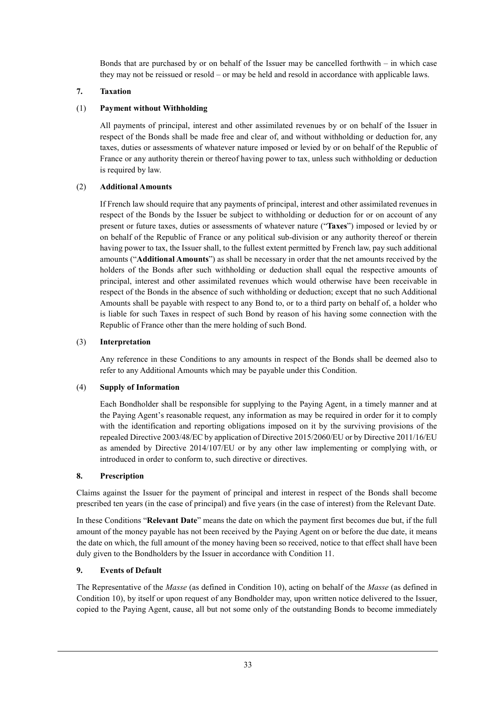Bonds that are purchased by or on behalf of the Issuer may be cancelled forthwith – in which case they may not be reissued or resold – or may be held and resold in accordance with applicable laws.

### **7. Taxation**

### (1) **Payment without Withholding**

All payments of principal, interest and other assimilated revenues by or on behalf of the Issuer in respect of the Bonds shall be made free and clear of, and without withholding or deduction for, any taxes, duties or assessments of whatever nature imposed or levied by or on behalf of the Republic of France or any authority therein or thereof having power to tax, unless such withholding or deduction is required by law.

### (2) **Additional Amounts**

If French law should require that any payments of principal, interest and other assimilated revenues in respect of the Bonds by the Issuer be subject to withholding or deduction for or on account of any present or future taxes, duties or assessments of whatever nature ("**Taxes**") imposed or levied by or on behalf of the Republic of France or any political sub-division or any authority thereof or therein having power to tax, the Issuer shall, to the fullest extent permitted by French law, pay such additional amounts ("**Additional Amounts**") as shall be necessary in order that the net amounts received by the holders of the Bonds after such withholding or deduction shall equal the respective amounts of principal, interest and other assimilated revenues which would otherwise have been receivable in respect of the Bonds in the absence of such withholding or deduction; except that no such Additional Amounts shall be payable with respect to any Bond to, or to a third party on behalf of, a holder who is liable for such Taxes in respect of such Bond by reason of his having some connection with the Republic of France other than the mere holding of such Bond.

### (3) **Interpretation**

Any reference in these Conditions to any amounts in respect of the Bonds shall be deemed also to refer to any Additional Amounts which may be payable under this Condition.

#### (4) **Supply of Information**

Each Bondholder shall be responsible for supplying to the Paying Agent, in a timely manner and at the Paying Agent's reasonable request, any information as may be required in order for it to comply with the identification and reporting obligations imposed on it by the surviving provisions of the repealed Directive 2003/48/EC by application of Directive 2015/2060/EU or by Directive 2011/16/EU as amended by Directive 2014/107/EU or by any other law implementing or complying with, or introduced in order to conform to, such directive or directives.

#### **8. Prescription**

Claims against the Issuer for the payment of principal and interest in respect of the Bonds shall become prescribed ten years (in the case of principal) and five years (in the case of interest) from the Relevant Date.

In these Conditions "**Relevant Date**" means the date on which the payment first becomes due but, if the full amount of the money payable has not been received by the Paying Agent on or before the due date, it means the date on which, the full amount of the money having been so received, notice to that effect shall have been duly given to the Bondholders by the Issuer in accordance with Condition 11.

#### **9. Events of Default**

The Representative of the *Masse* (as defined in Condition 10), acting on behalf of the *Masse* (as defined in Condition 10), by itself or upon request of any Bondholder may, upon written notice delivered to the Issuer, copied to the Paying Agent, cause, all but not some only of the outstanding Bonds to become immediately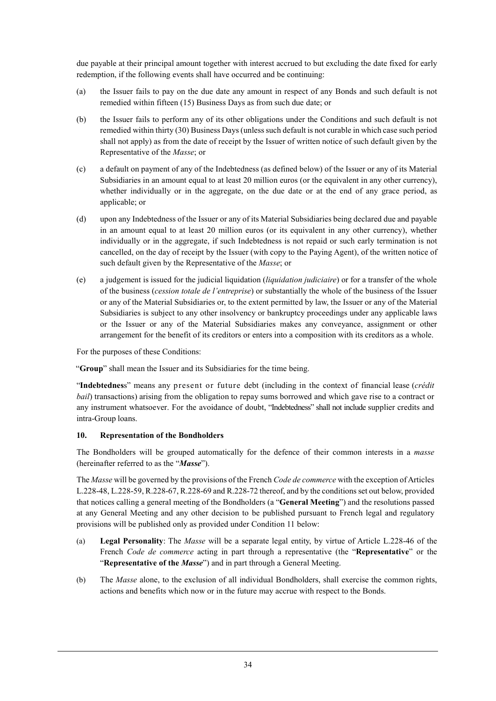due payable at their principal amount together with interest accrued to but excluding the date fixed for early redemption, if the following events shall have occurred and be continuing:

- (a) the Issuer fails to pay on the due date any amount in respect of any Bonds and such default is not remedied within fifteen (15) Business Days as from such due date; or
- (b) the Issuer fails to perform any of its other obligations under the Conditions and such default is not remedied within thirty (30) Business Days (unless such default is not curable in which case such period shall not apply) as from the date of receipt by the Issuer of written notice of such default given by the Representative of the *Masse*; or
- (c) a default on payment of any of the Indebtedness (as defined below) of the Issuer or any of its Material Subsidiaries in an amount equal to at least 20 million euros (or the equivalent in any other currency), whether individually or in the aggregate, on the due date or at the end of any grace period, as applicable; or
- (d) upon any Indebtedness of the Issuer or any of its Material Subsidiaries being declared due and payable in an amount equal to at least 20 million euros (or its equivalent in any other currency), whether individually or in the aggregate, if such Indebtedness is not repaid or such early termination is not cancelled, on the day of receipt by the Issuer (with copy to the Paying Agent), of the written notice of such default given by the Representative of the *Masse*; or
- (e) a judgement is issued for the judicial liquidation (*liquidation judiciaire*) or for a transfer of the whole of the business (*cession totale de l'entreprise*) or substantially the whole of the business of the Issuer or any of the Material Subsidiaries or, to the extent permitted by law, the Issuer or any of the Material Subsidiaries is subject to any other insolvency or bankruptcy proceedings under any applicable laws or the Issuer or any of the Material Subsidiaries makes any conveyance, assignment or other arrangement for the benefit of its creditors or enters into a composition with its creditors as a whole.

For the purposes of these Conditions:

"**Group**" shall mean the Issuer and its Subsidiaries for the time being.

"**Indebtednes**s" means any present or future debt (including in the context of financial lease (*crédit bail*) transactions) arising from the obligation to repay sums borrowed and which gave rise to a contract or any instrument whatsoever. For the avoidance of doubt, "Indebtedness" shall not include supplier credits and intra-Group loans.

#### **10. Representation of the Bondholders**

The Bondholders will be grouped automatically for the defence of their common interests in a *masse* (hereinafter referred to as the "*Masse*").

The *Masse* will be governed by the provisions of the French *Code de commerce* with the exception of Articles L.228-48, L.228-59, R.228-67, R.228-69 and R.228-72 thereof, and by the conditions set out below, provided that notices calling a general meeting of the Bondholders (a "**General Meeting**") and the resolutions passed at any General Meeting and any other decision to be published pursuant to French legal and regulatory provisions will be published only as provided under Condition 11 below:

- (a) **Legal Personality**: The *Masse* will be a separate legal entity, by virtue of Article L.228-46 of the French *Code de commerce* acting in part through a representative (the "**Representative**" or the "**Representative of the** *Masse*") and in part through a General Meeting.
- (b) The *Masse* alone, to the exclusion of all individual Bondholders, shall exercise the common rights, actions and benefits which now or in the future may accrue with respect to the Bonds.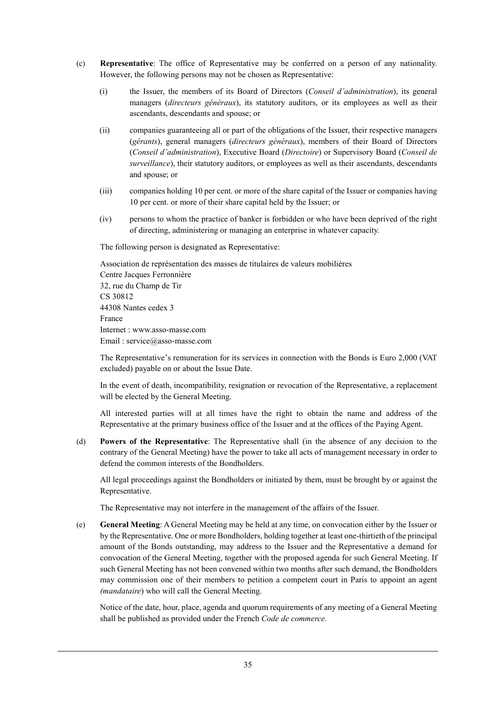- (c) **Representative**: The office of Representative may be conferred on a person of any nationality. However, the following persons may not be chosen as Representative:
	- (i) the Issuer, the members of its Board of Directors (*Conseil d'administration*), its general managers (*directeurs généraux*), its statutory auditors, or its employees as well as their ascendants, descendants and spouse; or
	- (ii) companies guaranteeing all or part of the obligations of the Issuer, their respective managers (*gérants*), general managers (*directeurs généraux*), members of their Board of Directors (*Conseil d'administration*), Executive Board (*Directoire*) or Supervisory Board (*Conseil de surveillance*), their statutory auditors, or employees as well as their ascendants, descendants and spouse; or
	- (iii) companies holding 10 per cent. or more of the share capital of the Issuer or companies having 10 per cent. or more of their share capital held by the Issuer; or
	- (iv) persons to whom the practice of banker is forbidden or who have been deprived of the right of directing, administering or managing an enterprise in whatever capacity.

The following person is designated as Representative:

Association de représentation des masses de titulaires de valeurs mobilières Centre Jacques Ferronnière 32, rue du Champ de Tir CS 30812 44308 Nantes cedex 3 France Internet : www.asso-masse.com Email : service@asso-masse.com

The Representative's remuneration for its services in connection with the Bonds is Euro 2,000 (VAT excluded) payable on or about the Issue Date.

In the event of death, incompatibility, resignation or revocation of the Representative, a replacement will be elected by the General Meeting.

All interested parties will at all times have the right to obtain the name and address of the Representative at the primary business office of the Issuer and at the offices of the Paying Agent.

(d) **Powers of the Representative**: The Representative shall (in the absence of any decision to the contrary of the General Meeting) have the power to take all acts of management necessary in order to defend the common interests of the Bondholders.

All legal proceedings against the Bondholders or initiated by them, must be brought by or against the Representative.

The Representative may not interfere in the management of the affairs of the Issuer.

(e) **General Meeting**: A General Meeting may be held at any time, on convocation either by the Issuer or by the Representative. One or more Bondholders, holding together at least one-thirtieth of the principal amount of the Bonds outstanding, may address to the Issuer and the Representative a demand for convocation of the General Meeting, together with the proposed agenda for such General Meeting. If such General Meeting has not been convened within two months after such demand, the Bondholders may commission one of their members to petition a competent court in Paris to appoint an agent *(mandataire*) who will call the General Meeting.

Notice of the date, hour, place, agenda and quorum requirements of any meeting of a General Meeting shall be published as provided under the French *Code de commerce.*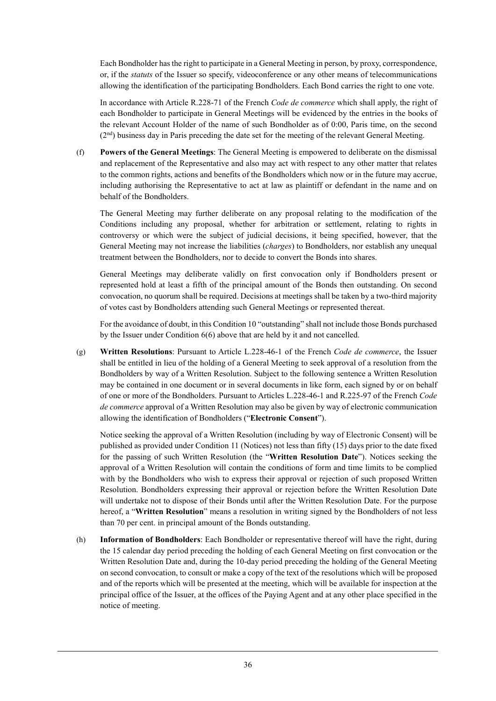Each Bondholder has the right to participate in a General Meeting in person, by proxy, correspondence, or, if the *statuts* of the Issuer so specify, videoconference or any other means of telecommunications allowing the identification of the participating Bondholders. Each Bond carries the right to one vote.

In accordance with Article R.228-71 of the French *Code de commerce* which shall apply, the right of each Bondholder to participate in General Meetings will be evidenced by the entries in the books of the relevant Account Holder of the name of such Bondholder as of 0:00, Paris time, on the second (2nd) business day in Paris preceding the date set for the meeting of the relevant General Meeting.

(f) **Powers of the General Meetings**: The General Meeting is empowered to deliberate on the dismissal and replacement of the Representative and also may act with respect to any other matter that relates to the common rights, actions and benefits of the Bondholders which now or in the future may accrue, including authorising the Representative to act at law as plaintiff or defendant in the name and on behalf of the Bondholders.

The General Meeting may further deliberate on any proposal relating to the modification of the Conditions including any proposal, whether for arbitration or settlement, relating to rights in controversy or which were the subject of judicial decisions, it being specified, however, that the General Meeting may not increase the liabilities (*charges*) to Bondholders, nor establish any unequal treatment between the Bondholders, nor to decide to convert the Bonds into shares.

General Meetings may deliberate validly on first convocation only if Bondholders present or represented hold at least a fifth of the principal amount of the Bonds then outstanding. On second convocation, no quorum shall be required. Decisions at meetings shall be taken by a two-third majority of votes cast by Bondholders attending such General Meetings or represented thereat.

For the avoidance of doubt, in this Condition 10 "outstanding" shall not include those Bonds purchased by the Issuer under Condition 6(6) above that are held by it and not cancelled.

(g) **Written Resolutions**: Pursuant to Article L.228-46-1 of the French *Code de commerce*, the Issuer shall be entitled in lieu of the holding of a General Meeting to seek approval of a resolution from the Bondholders by way of a Written Resolution. Subject to the following sentence a Written Resolution may be contained in one document or in several documents in like form, each signed by or on behalf of one or more of the Bondholders. Pursuant to Articles L.228-46-1 and R.225-97 of the French *Code de commerce* approval of a Written Resolution may also be given by way of electronic communication allowing the identification of Bondholders ("**Electronic Consent**").

Notice seeking the approval of a Written Resolution (including by way of Electronic Consent) will be published as provided under Condition 11 (Notices) not less than fifty (15) days prior to the date fixed for the passing of such Written Resolution (the "**Written Resolution Date**"). Notices seeking the approval of a Written Resolution will contain the conditions of form and time limits to be complied with by the Bondholders who wish to express their approval or rejection of such proposed Written Resolution. Bondholders expressing their approval or rejection before the Written Resolution Date will undertake not to dispose of their Bonds until after the Written Resolution Date. For the purpose hereof, a "**Written Resolution**" means a resolution in writing signed by the Bondholders of not less than 70 per cent. in principal amount of the Bonds outstanding.

(h) **Information of Bondholders**: Each Bondholder or representative thereof will have the right, during the 15 calendar day period preceding the holding of each General Meeting on first convocation or the Written Resolution Date and, during the 10-day period preceding the holding of the General Meeting on second convocation, to consult or make a copy of the text of the resolutions which will be proposed and of the reports which will be presented at the meeting, which will be available for inspection at the principal office of the Issuer, at the offices of the Paying Agent and at any other place specified in the notice of meeting.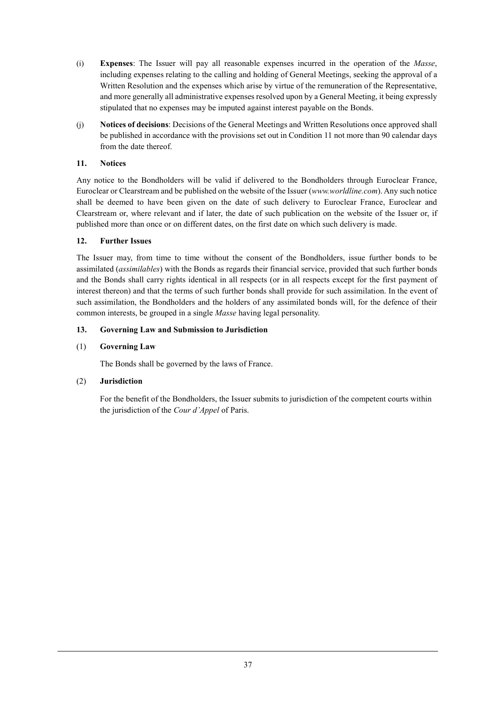- (i) **Expenses**: The Issuer will pay all reasonable expenses incurred in the operation of the *Masse*, including expenses relating to the calling and holding of General Meetings, seeking the approval of a Written Resolution and the expenses which arise by virtue of the remuneration of the Representative, and more generally all administrative expenses resolved upon by a General Meeting, it being expressly stipulated that no expenses may be imputed against interest payable on the Bonds.
- (j) **Notices of decisions**: Decisions of the General Meetings and Written Resolutions once approved shall be published in accordance with the provisions set out in Condition 11 not more than 90 calendar days from the date thereof.

### **11. Notices**

Any notice to the Bondholders will be valid if delivered to the Bondholders through Euroclear France, Euroclear or Clearstream and be published on the website of the Issuer (*www.worldline.com*). Any such notice shall be deemed to have been given on the date of such delivery to Euroclear France, Euroclear and Clearstream or, where relevant and if later, the date of such publication on the website of the Issuer or, if published more than once or on different dates, on the first date on which such delivery is made.

### **12. Further Issues**

The Issuer may, from time to time without the consent of the Bondholders, issue further bonds to be assimilated (*assimilables*) with the Bonds as regards their financial service, provided that such further bonds and the Bonds shall carry rights identical in all respects (or in all respects except for the first payment of interest thereon) and that the terms of such further bonds shall provide for such assimilation. In the event of such assimilation, the Bondholders and the holders of any assimilated bonds will, for the defence of their common interests, be grouped in a single *Masse* having legal personality.

### **13. Governing Law and Submission to Jurisdiction**

### (1) **Governing Law**

The Bonds shall be governed by the laws of France.

### (2) **Jurisdiction**

For the benefit of the Bondholders, the Issuer submits to jurisdiction of the competent courts within the jurisdiction of the *Cour d'Appel* of Paris.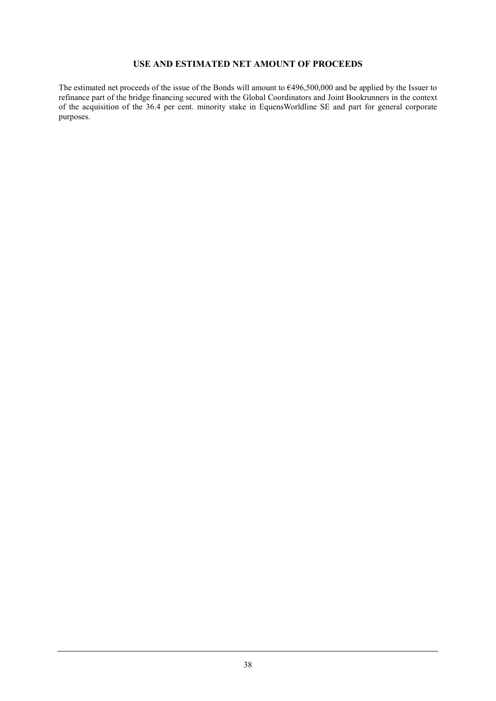### **USE AND ESTIMATED NET AMOUNT OF PROCEEDS**

The estimated net proceeds of the issue of the Bonds will amount to  $6496,500,000$  and be applied by the Issuer to refinance part of the bridge financing secured with the Global Coordinators and Joint Bookrunners in the context of the acquisition of the 36.4 per cent. minority stake in EquensWorldline SE and part for general corporate purposes.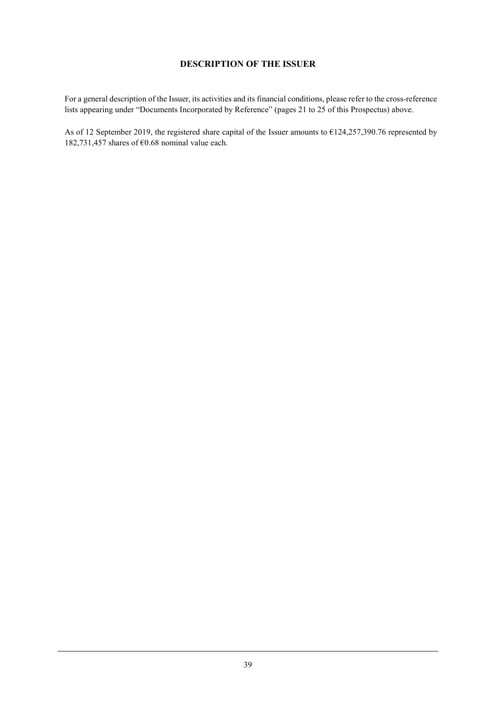### **DESCRIPTION OF THE ISSUER**

For a general description of the Issuer, its activities and its financial conditions, please refer to the cross-reference lists appearing under "Documents Incorporated by Reference" (pages 21 to 25 of this Prospectus) above.

As of 12 September 2019, the registered share capital of the Issuer amounts to €124,257,390.76 represented by 182,731,457 shares of  $\epsilon$ 0.68 nominal value each.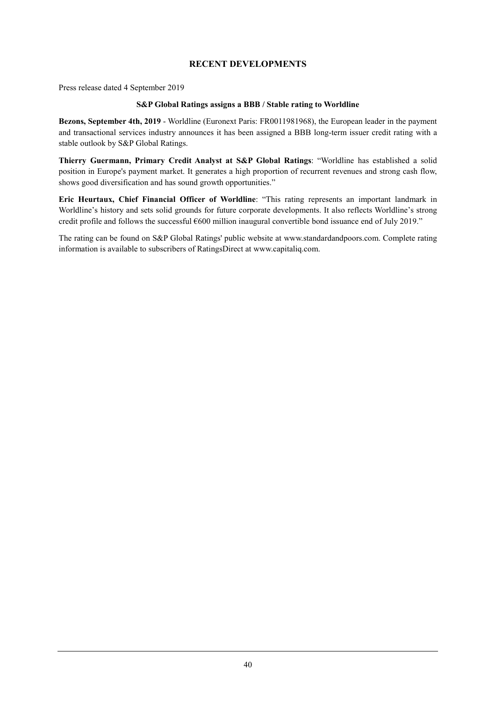### **RECENT DEVELOPMENTS**

Press release dated 4 September 2019

#### **S&P Global Ratings assigns a BBB / Stable rating to Worldline**

**Bezons, September 4th, 2019** - Worldline (Euronext Paris: FR0011981968), the European leader in the payment and transactional services industry announces it has been assigned a BBB long-term issuer credit rating with a stable outlook by S&P Global Ratings.

**Thierry Guermann, Primary Credit Analyst at S&P Global Ratings**: "Worldline has established a solid position in Europe's payment market. It generates a high proportion of recurrent revenues and strong cash flow, shows good diversification and has sound growth opportunities."

**Eric Heurtaux, Chief Financial Officer of Worldline**: "This rating represents an important landmark in Worldline's history and sets solid grounds for future corporate developments. It also reflects Worldline's strong credit profile and follows the successful €600 million inaugural convertible bond issuance end of July 2019."

The rating can be found on S&P Global Ratings' public website at www.standardandpoors.com. Complete rating information is available to subscribers of RatingsDirect at www.capitaliq.com.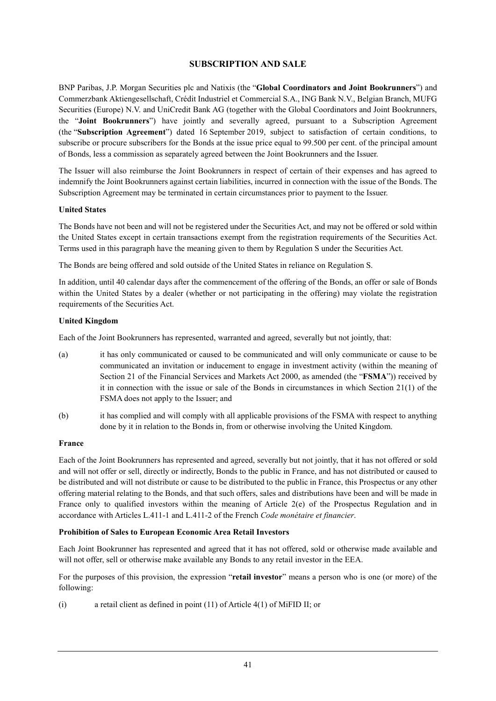### **SUBSCRIPTION AND SALE**

BNP Paribas, J.P. Morgan Securities plc and Natixis (the "**Global Coordinators and Joint Bookrunners**") and Commerzbank Aktiengesellschaft, Crédit Industriel et Commercial S.A., ING Bank N.V., Belgian Branch, MUFG Securities (Europe) N.V. and UniCredit Bank AG (together with the Global Coordinators and Joint Bookrunners, the "**Joint Bookrunners**") have jointly and severally agreed, pursuant to a Subscription Agreement (the "**Subscription Agreement**") dated 16 September 2019, subject to satisfaction of certain conditions, to subscribe or procure subscribers for the Bonds at the issue price equal to 99.500 per cent. of the principal amount of Bonds, less a commission as separately agreed between the Joint Bookrunners and the Issuer.

The Issuer will also reimburse the Joint Bookrunners in respect of certain of their expenses and has agreed to indemnify the Joint Bookrunners against certain liabilities, incurred in connection with the issue of the Bonds. The Subscription Agreement may be terminated in certain circumstances prior to payment to the Issuer.

#### **United States**

The Bonds have not been and will not be registered under the Securities Act, and may not be offered or sold within the United States except in certain transactions exempt from the registration requirements of the Securities Act. Terms used in this paragraph have the meaning given to them by Regulation S under the Securities Act.

The Bonds are being offered and sold outside of the United States in reliance on Regulation S.

In addition, until 40 calendar days after the commencement of the offering of the Bonds, an offer or sale of Bonds within the United States by a dealer (whether or not participating in the offering) may violate the registration requirements of the Securities Act.

#### **United Kingdom**

Each of the Joint Bookrunners has represented, warranted and agreed, severally but not jointly, that:

- (a) it has only communicated or caused to be communicated and will only communicate or cause to be communicated an invitation or inducement to engage in investment activity (within the meaning of Section 21 of the Financial Services and Markets Act 2000, as amended (the "**FSMA**")) received by it in connection with the issue or sale of the Bonds in circumstances in which Section 21(1) of the FSMA does not apply to the Issuer; and
- (b) it has complied and will comply with all applicable provisions of the FSMA with respect to anything done by it in relation to the Bonds in, from or otherwise involving the United Kingdom.

#### **France**

Each of the Joint Bookrunners has represented and agreed, severally but not jointly, that it has not offered or sold and will not offer or sell, directly or indirectly, Bonds to the public in France, and has not distributed or caused to be distributed and will not distribute or cause to be distributed to the public in France, this Prospectus or any other offering material relating to the Bonds, and that such offers, sales and distributions have been and will be made in France only to qualified investors within the meaning of Article 2(e) of the Prospectus Regulation and in accordance with Articles L.411-1 and L.411-2 of the French *Code monétaire et financier*.

#### **Prohibition of Sales to European Economic Area Retail Investors**

Each Joint Bookrunner has represented and agreed that it has not offered, sold or otherwise made available and will not offer, sell or otherwise make available any Bonds to any retail investor in the EEA.

For the purposes of this provision, the expression "**retail investor**" means a person who is one (or more) of the following:

(i) a retail client as defined in point (11) of Article 4(1) of MiFID II; or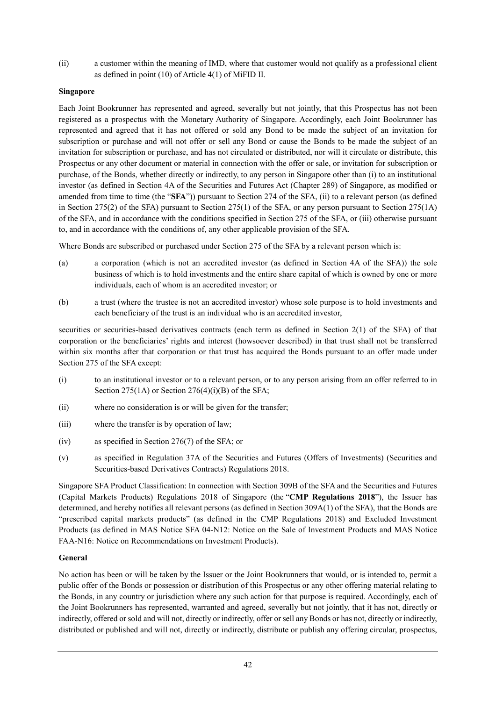(ii) a customer within the meaning of IMD, where that customer would not qualify as a professional client as defined in point (10) of Article 4(1) of MiFID II.

### **Singapore**

Each Joint Bookrunner has represented and agreed, severally but not jointly, that this Prospectus has not been registered as a prospectus with the Monetary Authority of Singapore. Accordingly, each Joint Bookrunner has represented and agreed that it has not offered or sold any Bond to be made the subject of an invitation for subscription or purchase and will not offer or sell any Bond or cause the Bonds to be made the subject of an invitation for subscription or purchase, and has not circulated or distributed, nor will it circulate or distribute, this Prospectus or any other document or material in connection with the offer or sale, or invitation for subscription or purchase, of the Bonds, whether directly or indirectly, to any person in Singapore other than (i) to an institutional investor (as defined in Section 4A of the Securities and Futures Act (Chapter 289) of Singapore, as modified or amended from time to time (the "**SFA**")) pursuant to Section 274 of the SFA, (ii) to a relevant person (as defined in Section 275(2) of the SFA) pursuant to Section 275(1) of the SFA, or any person pursuant to Section 275(1A) of the SFA, and in accordance with the conditions specified in Section 275 of the SFA, or (iii) otherwise pursuant to, and in accordance with the conditions of, any other applicable provision of the SFA.

Where Bonds are subscribed or purchased under Section 275 of the SFA by a relevant person which is:

- (a) a corporation (which is not an accredited investor (as defined in Section 4A of the SFA)) the sole business of which is to hold investments and the entire share capital of which is owned by one or more individuals, each of whom is an accredited investor; or
- (b) a trust (where the trustee is not an accredited investor) whose sole purpose is to hold investments and each beneficiary of the trust is an individual who is an accredited investor,

securities or securities-based derivatives contracts (each term as defined in Section 2(1) of the SFA) of that corporation or the beneficiaries' rights and interest (howsoever described) in that trust shall not be transferred within six months after that corporation or that trust has acquired the Bonds pursuant to an offer made under Section 275 of the SFA except:

- (i) to an institutional investor or to a relevant person, or to any person arising from an offer referred to in Section  $275(1A)$  or Section  $276(4)(i)(B)$  of the SFA;
- (ii) where no consideration is or will be given for the transfer;
- (iii) where the transfer is by operation of law;
- (iv) as specified in Section 276(7) of the SFA; or
- (v) as specified in Regulation 37A of the Securities and Futures (Offers of Investments) (Securities and Securities-based Derivatives Contracts) Regulations 2018.

Singapore SFA Product Classification: In connection with Section 309B of the SFA and the Securities and Futures (Capital Markets Products) Regulations 2018 of Singapore (the "**CMP Regulations 2018**"), the Issuer has determined, and hereby notifies all relevant persons (as defined in Section 309A(1) of the SFA), that the Bonds are "prescribed capital markets products" (as defined in the CMP Regulations 2018) and Excluded Investment Products (as defined in MAS Notice SFA 04-N12: Notice on the Sale of Investment Products and MAS Notice FAA-N16: Notice on Recommendations on Investment Products).

#### **General**

No action has been or will be taken by the Issuer or the Joint Bookrunners that would, or is intended to, permit a public offer of the Bonds or possession or distribution of this Prospectus or any other offering material relating to the Bonds, in any country or jurisdiction where any such action for that purpose is required. Accordingly, each of the Joint Bookrunners has represented, warranted and agreed, severally but not jointly, that it has not, directly or indirectly, offered or sold and will not, directly or indirectly, offer or sell any Bonds or has not, directly or indirectly, distributed or published and will not, directly or indirectly, distribute or publish any offering circular, prospectus,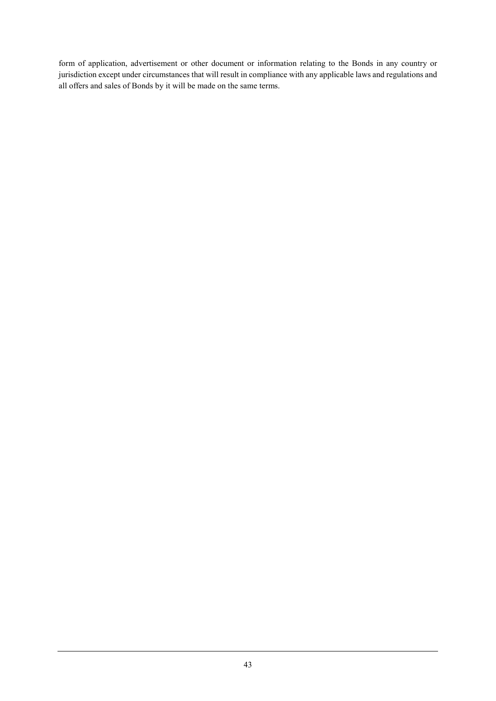form of application, advertisement or other document or information relating to the Bonds in any country or jurisdiction except under circumstances that will result in compliance with any applicable laws and regulations and all offers and sales of Bonds by it will be made on the same terms.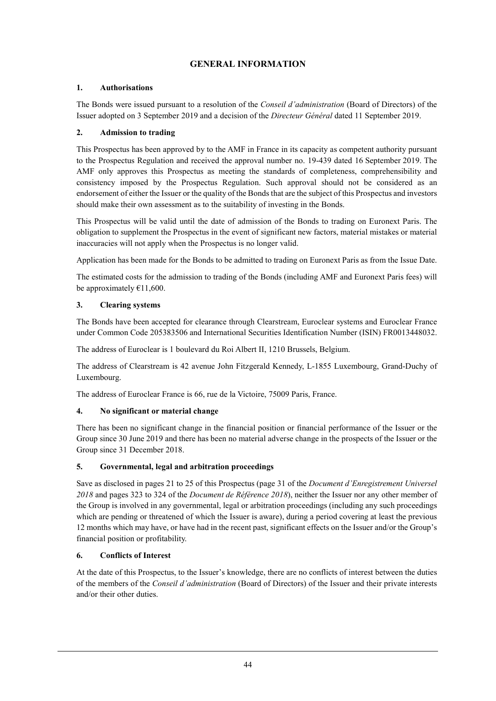# **GENERAL INFORMATION**

### **1. Authorisations**

The Bonds were issued pursuant to a resolution of the *Conseil d'administration* (Board of Directors) of the Issuer adopted on 3 September 2019 and a decision of the *Directeur Général* dated 11 September 2019.

### **2. Admission to trading**

This Prospectus has been approved by to the AMF in France in its capacity as competent authority pursuant to the Prospectus Regulation and received the approval number no. 19-439 dated 16 September 2019. The AMF only approves this Prospectus as meeting the standards of completeness, comprehensibility and consistency imposed by the Prospectus Regulation. Such approval should not be considered as an endorsement of either the Issuer or the quality of the Bonds that are the subject of this Prospectus and investors should make their own assessment as to the suitability of investing in the Bonds.

This Prospectus will be valid until the date of admission of the Bonds to trading on Euronext Paris. The obligation to supplement the Prospectus in the event of significant new factors, material mistakes or material inaccuracies will not apply when the Prospectus is no longer valid.

Application has been made for the Bonds to be admitted to trading on Euronext Paris as from the Issue Date.

The estimated costs for the admission to trading of the Bonds (including AMF and Euronext Paris fees) will be approximately  $€11,600$ .

### **3. Clearing systems**

The Bonds have been accepted for clearance through Clearstream, Euroclear systems and Euroclear France under Common Code 205383506 and International Securities Identification Number (ISIN) FR0013448032.

The address of Euroclear is 1 boulevard du Roi Albert II, 1210 Brussels, Belgium.

The address of Clearstream is 42 avenue John Fitzgerald Kennedy, L-1855 Luxembourg, Grand-Duchy of Luxembourg.

The address of Euroclear France is 66, rue de la Victoire, 75009 Paris, France.

### **4. No significant or material change**

There has been no significant change in the financial position or financial performance of the Issuer or the Group since 30 June 2019 and there has been no material adverse change in the prospects of the Issuer or the Group since 31 December 2018.

#### **5. Governmental, legal and arbitration proceedings**

Save as disclosed in pages 21 to 25 of this Prospectus (page 31 of the *Document d'Enregistrement Universel 2018* and pages 323 to 324 of the *Document de Référence 2018*), neither the Issuer nor any other member of the Group is involved in any governmental, legal or arbitration proceedings (including any such proceedings which are pending or threatened of which the Issuer is aware), during a period covering at least the previous 12 months which may have, or have had in the recent past, significant effects on the Issuer and/or the Group's financial position or profitability.

#### **6. Conflicts of Interest**

At the date of this Prospectus, to the Issuer's knowledge, there are no conflicts of interest between the duties of the members of the *Conseil d'administration* (Board of Directors) of the Issuer and their private interests and/or their other duties.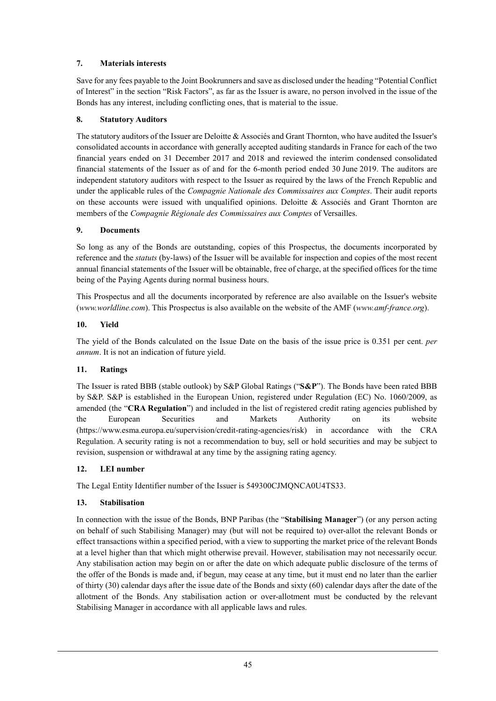### **7. Materials interests**

Save for any fees payable to the Joint Bookrunners and save as disclosed under the heading "Potential Conflict of Interest" in the section "Risk Factors", as far as the Issuer is aware, no person involved in the issue of the Bonds has any interest, including conflicting ones, that is material to the issue.

### **8. Statutory Auditors**

The statutory auditors of the Issuer are Deloitte & Associés and Grant Thornton, who have audited the Issuer's consolidated accounts in accordance with generally accepted auditing standards in France for each of the two financial years ended on 31 December 2017 and 2018 and reviewed the interim condensed consolidated financial statements of the Issuer as of and for the 6-month period ended 30 June 2019. The auditors are independent statutory auditors with respect to the Issuer as required by the laws of the French Republic and under the applicable rules of the *Compagnie Nationale des Commissaires aux Comptes*. Their audit reports on these accounts were issued with unqualified opinions. Deloitte & Associés and Grant Thornton are members of the *Compagnie Régionale des Commissaires aux Comptes* of Versailles.

### **9. Documents**

So long as any of the Bonds are outstanding, copies of this Prospectus, the documents incorporated by reference and the *statuts* (by-laws) of the Issuer will be available for inspection and copies of the most recent annual financial statements of the Issuer will be obtainable, free of charge, at the specified offices for the time being of the Paying Agents during normal business hours.

This Prospectus and all the documents incorporated by reference are also available on the Issuer's website (*www.worldline.com*). This Prospectus is also available on the website of the AMF (*www.amf-france.org*).

### **10. Yield**

The yield of the Bonds calculated on the Issue Date on the basis of the issue price is 0.351 per cent. *per annum*. It is not an indication of future yield.

### **11. Ratings**

The Issuer is rated BBB (stable outlook) by S&P Global Ratings ("**S&P**"). The Bonds have been rated BBB by S&P. S&P is established in the European Union, registered under Regulation (EC) No. 1060/2009, as amended (the "**CRA Regulation**") and included in the list of registered credit rating agencies published by the European Securities and Markets Authority on its website (https://www.esma.europa.eu/supervision/credit-rating-agencies/risk) in accordance with the CRA Regulation. A security rating is not a recommendation to buy, sell or hold securities and may be subject to revision, suspension or withdrawal at any time by the assigning rating agency.

#### **12. LEI number**

The Legal Entity Identifier number of the Issuer is 549300CJMQNCA0U4TS33.

#### **13. Stabilisation**

In connection with the issue of the Bonds, BNP Paribas (the "**Stabilising Manager**") (or any person acting on behalf of such Stabilising Manager) may (but will not be required to) over-allot the relevant Bonds or effect transactions within a specified period, with a view to supporting the market price of the relevant Bonds at a level higher than that which might otherwise prevail. However, stabilisation may not necessarily occur. Any stabilisation action may begin on or after the date on which adequate public disclosure of the terms of the offer of the Bonds is made and, if begun, may cease at any time, but it must end no later than the earlier of thirty (30) calendar days after the issue date of the Bonds and sixty (60) calendar days after the date of the allotment of the Bonds. Any stabilisation action or over-allotment must be conducted by the relevant Stabilising Manager in accordance with all applicable laws and rules.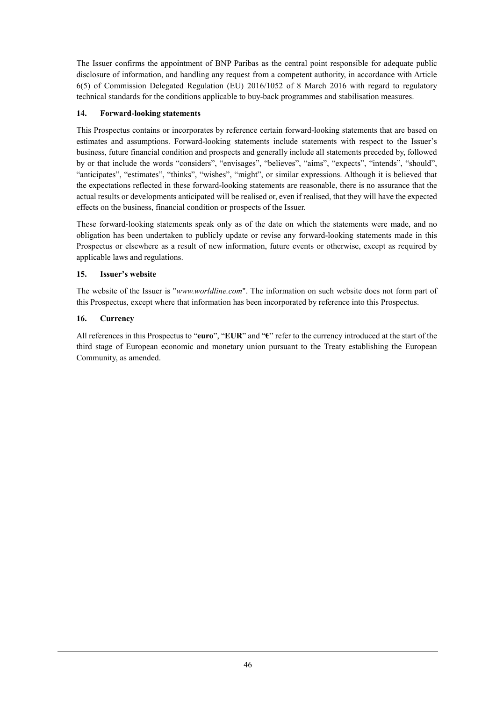The Issuer confirms the appointment of BNP Paribas as the central point responsible for adequate public disclosure of information, and handling any request from a competent authority, in accordance with Article 6(5) of Commission Delegated Regulation (EU) 2016/1052 of 8 March 2016 with regard to regulatory technical standards for the conditions applicable to buy-back programmes and stabilisation measures.

### **14. Forward-looking statements**

This Prospectus contains or incorporates by reference certain forward-looking statements that are based on estimates and assumptions. Forward-looking statements include statements with respect to the Issuer's business, future financial condition and prospects and generally include all statements preceded by, followed by or that include the words "considers", "envisages", "believes", "aims", "expects", "intends", "should", "anticipates", "estimates", "thinks", "wishes", "might", or similar expressions. Although it is believed that the expectations reflected in these forward-looking statements are reasonable, there is no assurance that the actual results or developments anticipated will be realised or, even if realised, that they will have the expected effects on the business, financial condition or prospects of the Issuer.

These forward-looking statements speak only as of the date on which the statements were made, and no obligation has been undertaken to publicly update or revise any forward-looking statements made in this Prospectus or elsewhere as a result of new information, future events or otherwise, except as required by applicable laws and regulations.

### **15. Issuer's website**

The website of the Issuer is "*www.worldline.com*". The information on such website does not form part of this Prospectus, except where that information has been incorporated by reference into this Prospectus.

### **16. Currency**

All references in this Prospectus to "**euro**", "**EUR**" and "**€**" refer to the currency introduced at the start of the third stage of European economic and monetary union pursuant to the Treaty establishing the European Community, as amended.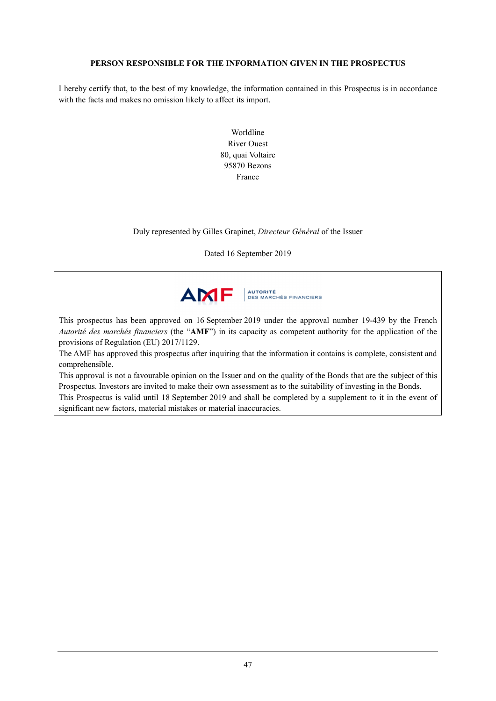### **PERSON RESPONSIBLE FOR THE INFORMATION GIVEN IN THE PROSPECTUS**

I hereby certify that, to the best of my knowledge, the information contained in this Prospectus is in accordance with the facts and makes no omission likely to affect its import.

> Worldline River Ouest 80, quai Voltaire 95870 Bezons France

Duly represented by Gilles Grapinet, *Directeur Général* of the Issuer

Dated 16 September 2019



This prospectus has been approved on 16 September 2019 under the approval number 19-439 by the French *Autorité des marchés financiers* (the "**AMF**") in its capacity as competent authority for the application of the provisions of Regulation (EU) 2017/1129.

The AMF has approved this prospectus after inquiring that the information it contains is complete, consistent and comprehensible.

This approval is not a favourable opinion on the Issuer and on the quality of the Bonds that are the subject of this Prospectus. Investors are invited to make their own assessment as to the suitability of investing in the Bonds.

This Prospectus is valid until 18 September 2019 and shall be completed by a supplement to it in the event of significant new factors, material mistakes or material inaccuracies.